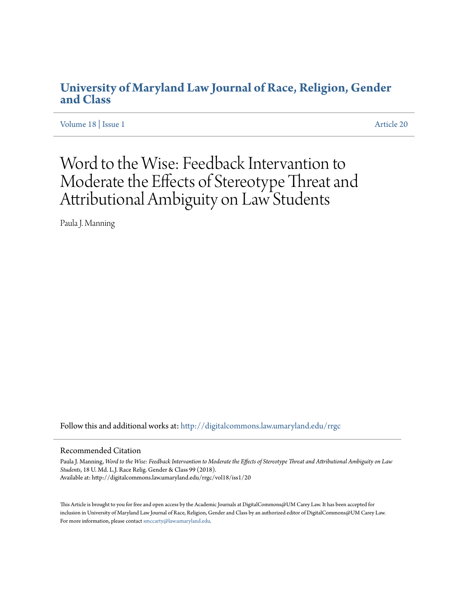# **[University of Maryland Law Journal of Race, Religion, Gender](http://digitalcommons.law.umaryland.edu/rrgc?utm_source=digitalcommons.law.umaryland.edu%2Frrgc%2Fvol18%2Fiss1%2F20&utm_medium=PDF&utm_campaign=PDFCoverPages) [and Class](http://digitalcommons.law.umaryland.edu/rrgc?utm_source=digitalcommons.law.umaryland.edu%2Frrgc%2Fvol18%2Fiss1%2F20&utm_medium=PDF&utm_campaign=PDFCoverPages)**

[Volume 18](http://digitalcommons.law.umaryland.edu/rrgc/vol18?utm_source=digitalcommons.law.umaryland.edu%2Frrgc%2Fvol18%2Fiss1%2F20&utm_medium=PDF&utm_campaign=PDFCoverPages) | [Issue 1](http://digitalcommons.law.umaryland.edu/rrgc/vol18/iss1?utm_source=digitalcommons.law.umaryland.edu%2Frrgc%2Fvol18%2Fiss1%2F20&utm_medium=PDF&utm_campaign=PDFCoverPages) [Article 20](http://digitalcommons.law.umaryland.edu/rrgc/vol18/iss1/20?utm_source=digitalcommons.law.umaryland.edu%2Frrgc%2Fvol18%2Fiss1%2F20&utm_medium=PDF&utm_campaign=PDFCoverPages)

Word to the Wise: Feedback Intervantion to Moderate the Effects of Stereotype Threat and Attributional Ambiguity on Law Students

Paula J. Manning

Follow this and additional works at: [http://digitalcommons.law.umaryland.edu/rrgc](http://digitalcommons.law.umaryland.edu/rrgc?utm_source=digitalcommons.law.umaryland.edu%2Frrgc%2Fvol18%2Fiss1%2F20&utm_medium=PDF&utm_campaign=PDFCoverPages)

#### Recommended Citation

Paula J. Manning, *Word to the Wise: Feedback Intervantion to Moderate the Effects of Stereotype Threat and Attributional Ambiguity on Law Students*, 18 U. Md. L.J. Race Relig. Gender & Class 99 (2018). Available at: http://digitalcommons.law.umaryland.edu/rrgc/vol18/iss1/20

This Article is brought to you for free and open access by the Academic Journals at DigitalCommons@UM Carey Law. It has been accepted for inclusion in University of Maryland Law Journal of Race, Religion, Gender and Class by an authorized editor of DigitalCommons@UM Carey Law. For more information, please contact [smccarty@law.umaryland.edu.](mailto:smccarty@law.umaryland.edu)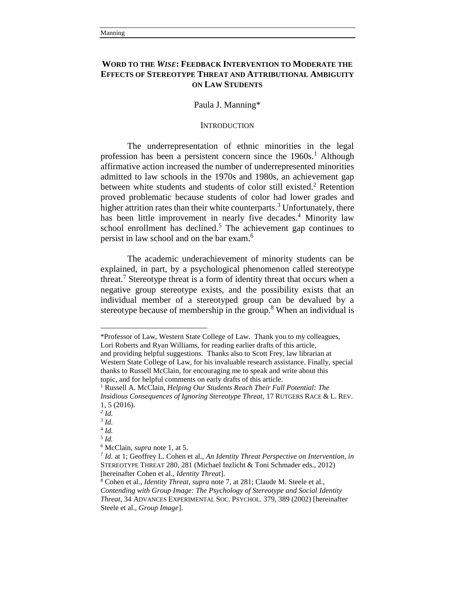# **WORD TO THE** *WISE***: FEEDBACK INTERVENTION TO MODERATE THE EFFECTS OF STEREOTYPE THREAT AND ATTRIBUTIONAL AMBIGUITY ON LAW STUDENTS**

#### Paula J. Manning\*

#### **INTRODUCTION**

The underrepresentation of ethnic minorities in the legal profession has been a persistent concern since the  $1960s<sup>1</sup>$ . Although affirmative action increased the number of underrepresented minorities admitted to law schools in the 1970s and 1980s, an achievement gap between white students and students of color still existed.<sup>2</sup> Retention proved problematic because students of color had lower grades and higher attrition rates than their white counterparts.<sup>3</sup> Unfortunately, there has been little improvement in nearly five decades.<sup>4</sup> Minority law school enrollment has declined.<sup>5</sup> The achievement gap continues to persist in law school and on the bar exam.<sup>6</sup>

The academic underachievement of minority students can be explained, in part, by a psychological phenomenon called stereotype threat.<sup>7</sup> Stereotype threat is a form of identity threat that occurs when a negative group stereotype exists, and the possibility exists that an individual member of a stereotyped group can be devalued by a stereotype because of membership in the group. $8$  When an individual is

\*Professor of Law, Western State College of Law. Thank you to my colleagues, Lori Roberts and Ryan Williams, for reading earlier drafts of this article,

and providing helpful suggestions. Thanks also to Scott Frey, law librarian at Western State College of Law, for his invaluable research assistance. Finally, special thanks to Russell McClain, for encouraging me to speak and write about this topic, and for helpful comments on early drafts of this article.

 $\overline{a}$ 

4 *Id.*

<sup>1</sup> Russell A. McClain, *Helping Our Students Reach Their Full Potential: The Insidious Consequences of Ignoring Stereotype Threat*, 17 RUTGERS RACE & L. REV. 1, 5 (2016).

*<sup>2</sup> Id.*

<sup>3</sup> *Id.*

<sup>5</sup> *Id.*

<sup>6</sup> McClain, *supra* note 1, at 5.

<sup>7</sup> *Id.* at 1; Geoffrey L. Cohen et al., *An Identity Threat Perspective on Intervention*, *in*  STEREOTYPE THREAT 280, 281 (Michael Inzlicht & Toni Schmader eds., 2012) [hereinafter Cohen et al., *Identity Threat*].

<sup>8</sup> Cohen et al., *Identity Threat*, *supra* note 7, at 281; Claude M. Steele et al., *Contending with Group Image: The Psychology of Stereotype and Social Identity Threat*, 34 ADVANCES EXPERIMENTAL SOC. PSYCHOL. 379, 389 (2002) [hereinafter Steele et al., *Group Image*].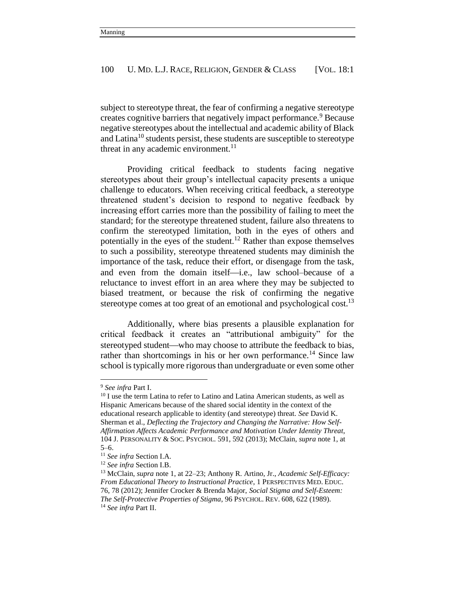subject to stereotype threat, the fear of confirming a negative stereotype creates cognitive barriers that negatively impact performance.<sup>9</sup> Because negative stereotypes about the intellectual and academic ability of Black and Latina<sup>10</sup> students persist, these students are susceptible to stereotype threat in any academic environment. $^{11}$ 

Providing critical feedback to students facing negative stereotypes about their group's intellectual capacity presents a unique challenge to educators. When receiving critical feedback, a stereotype threatened student's decision to respond to negative feedback by increasing effort carries more than the possibility of failing to meet the standard; for the stereotype threatened student, failure also threatens to confirm the stereotyped limitation, both in the eyes of others and potentially in the eyes of the student.<sup>12</sup> Rather than expose themselves to such a possibility, stereotype threatened students may diminish the importance of the task, reduce their effort, or disengage from the task, and even from the domain itself—i.e., law school–because of a reluctance to invest effort in an area where they may be subjected to biased treatment, or because the risk of confirming the negative stereotype comes at too great of an emotional and psychological cost.<sup>13</sup>

Additionally, where bias presents a plausible explanation for critical feedback it creates an "attributional ambiguity" for the stereotyped student—who may choose to attribute the feedback to bias, rather than shortcomings in his or her own performance.<sup>14</sup> Since law school is typically more rigorous than undergraduate or even some other

<sup>9</sup> *See infra* Part I.

<sup>&</sup>lt;sup>10</sup> I use the term Latina to refer to Latino and Latina American students, as well as Hispanic Americans because of the shared social identity in the context of the educational research applicable to identity (and stereotype) threat. *See* David K. Sherman et al., *Deflecting the Trajectory and Changing the Narrative: How Self-Affirmation Affects Academic Performance and Motivation Under Identity Threat*, 104 J. PERSONALITY & SOC. PSYCHOL. 591, 592 (2013); McClain, *supra* note 1, at 5–6.

<sup>11</sup> *See infra* Section I.A.

<sup>12</sup> *See infra* Section I.B.

<sup>13</sup> McClain, *supra* note 1, at 22–23; Anthony R. Artino, Jr., *Academic Self-Efficacy: From Educational Theory to Instructional Practice*, 1 PERSPECTIVES MED. EDUC. 76, 78 (2012); Jennifer Crocker & Brenda Major, *Social Stigma and Self-Esteem: The Self-Protective Properties of Stigma*, 96 PSYCHOL. REV. 608, 622 (1989). <sup>14</sup> *See infra* Part II.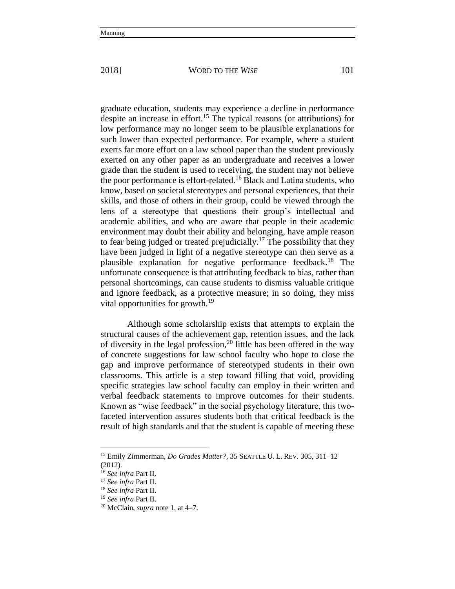graduate education, students may experience a decline in performance despite an increase in effort.<sup>15</sup> The typical reasons (or attributions) for low performance may no longer seem to be plausible explanations for such lower than expected performance. For example, where a student exerts far more effort on a law school paper than the student previously exerted on any other paper as an undergraduate and receives a lower grade than the student is used to receiving, the student may not believe the poor performance is effort-related.<sup>16</sup> Black and Latina students, who know, based on societal stereotypes and personal experiences, that their skills, and those of others in their group, could be viewed through the lens of a stereotype that questions their group's intellectual and academic abilities, and who are aware that people in their academic environment may doubt their ability and belonging, have ample reason to fear being judged or treated prejudicially.<sup>17</sup> The possibility that they have been judged in light of a negative stereotype can then serve as a plausible explanation for negative performance feedback.<sup>18</sup> The unfortunate consequence is that attributing feedback to bias, rather than personal shortcomings, can cause students to dismiss valuable critique and ignore feedback, as a protective measure; in so doing, they miss vital opportunities for growth.<sup>19</sup>

Although some scholarship exists that attempts to explain the structural causes of the achievement gap, retention issues, and the lack of diversity in the legal profession,  $^{20}$  little has been offered in the way of concrete suggestions for law school faculty who hope to close the gap and improve performance of stereotyped students in their own classrooms. This article is a step toward filling that void, providing specific strategies law school faculty can employ in their written and verbal feedback statements to improve outcomes for their students. Known as "wise feedback" in the social psychology literature, this twofaceted intervention assures students both that critical feedback is the result of high standards and that the student is capable of meeting these

<sup>15</sup> Emily Zimmerman, *Do Grades Matter?*, 35 SEATTLE U. L. REV. 305, 311–12 (2012).

<sup>16</sup> *See infra* Part II.

<sup>17</sup> *See infra* Part II.

<sup>18</sup> *See infra* Part II.

<sup>19</sup> *See infra* Part II.

<sup>20</sup> McClain, *supra* note 1, at 4–7.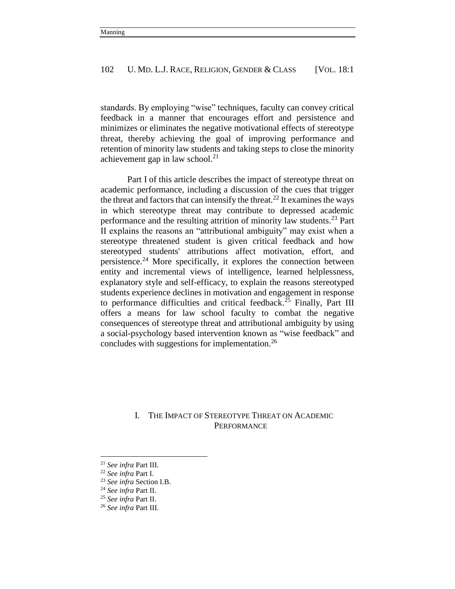standards. By employing "wise" techniques, faculty can convey critical feedback in a manner that encourages effort and persistence and minimizes or eliminates the negative motivational effects of stereotype threat, thereby achieving the goal of improving performance and retention of minority law students and taking steps to close the minority achievement gap in law school. $^{21}$ 

Part I of this article describes the impact of stereotype threat on academic performance, including a discussion of the cues that trigger the threat and factors that can intensify the threat.<sup>22</sup> It examines the ways in which stereotype threat may contribute to depressed academic performance and the resulting attrition of minority law students.<sup>23</sup> Part II explains the reasons an "attributional ambiguity" may exist when a stereotype threatened student is given critical feedback and how stereotyped students' attributions affect motivation, effort, and persistence.<sup>24</sup> More specifically, it explores the connection between entity and incremental views of intelligence, learned helplessness, explanatory style and self-efficacy, to explain the reasons stereotyped students experience declines in motivation and engagement in response to performance difficulties and critical feedback.<sup>25</sup> Finally, Part III offers a means for law school faculty to combat the negative consequences of stereotype threat and attributional ambiguity by using a social-psychology based intervention known as "wise feedback" and concludes with suggestions for implementation.<sup>26</sup>

# I. THE IMPACT OF STEREOTYPE THREAT ON ACADEMIC **PERFORMANCE**

<sup>21</sup> *See infra* Part III.

<sup>22</sup> *See infra* Part I.

<sup>23</sup> *See infra* Section I.B.

<sup>24</sup> *See infra* Part II.

<sup>25</sup> *See infra* Part II.

<sup>26</sup> *See infra* Part III.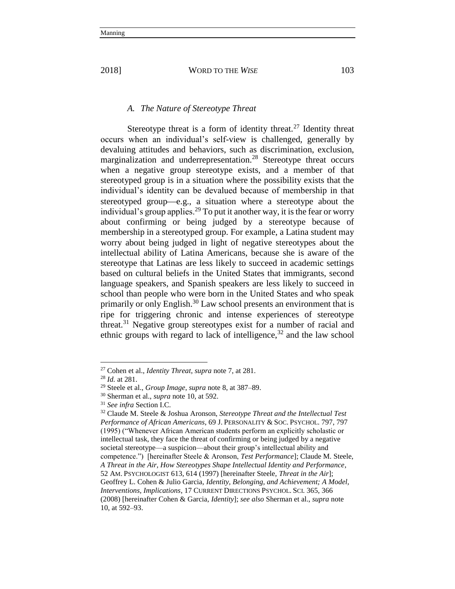# *A. The Nature of Stereotype Threat*

Stereotype threat is a form of identity threat.<sup>27</sup> Identity threat occurs when an individual's self-view is challenged, generally by devaluing attitudes and behaviors, such as discrimination, exclusion, marginalization and underrepresentation.<sup>28</sup> Stereotype threat occurs when a negative group stereotype exists, and a member of that stereotyped group is in a situation where the possibility exists that the individual's identity can be devalued because of membership in that stereotyped group—e.g., a situation where a stereotype about the individual's group applies.<sup>29</sup> To put it another way, it is the fear or worry about confirming or being judged by a stereotype because of membership in a stereotyped group. For example, a Latina student may worry about being judged in light of negative stereotypes about the intellectual ability of Latina Americans, because she is aware of the stereotype that Latinas are less likely to succeed in academic settings based on cultural beliefs in the United States that immigrants, second language speakers, and Spanish speakers are less likely to succeed in school than people who were born in the United States and who speak primarily or only English.<sup>30</sup> Law school presents an environment that is ripe for triggering chronic and intense experiences of stereotype threat.<sup>31</sup> Negative group stereotypes exist for a number of racial and ethnic groups with regard to lack of intelligence,  $32$  and the law school

<sup>27</sup> Cohen et al., *Identity Threat*, *supra* note 7, at 281.

<sup>28</sup> *Id.* at 281.

<sup>29</sup> Steele et al., *Group Image*, *supra* note 8, at 387–89.

<sup>30</sup> Sherman et al., *supra* note 10, at 592.

<sup>31</sup> *See infra* Section I.C.

<sup>32</sup> Claude M. Steele & Joshua Aronson, *Stereotype Threat and the Intellectual Test Performance of African Americans*, 69 J. PERSONALITY & SOC. PSYCHOL. 797, 797 (1995) ("Whenever African American students perform an explicitly scholastic or intellectual task, they face the threat of confirming or being judged by a negative societal stereotype—a suspicion—about their group's intellectual ability and competence.") [hereinafter Steele & Aronson, *Test Performance*]; Claude M. Steele, *A Threat in the Air, How Stereotypes Shape Intellectual Identity and Performance*, 52 AM. PSYCHOLOGIST 613, 614 (1997) [hereinafter Steele, *Threat in the Air*]; Geoffrey L. Cohen & Julio Garcia, *Identity, Belonging, and Achievement; A Model, Interventions, Implications*, 17 CURRENT DIRECTIONS PSYCHOL. SCI. 365, 366 (2008) [hereinafter Cohen & Garcia, *Identity*]; *see also* Sherman et al., *supra* note 10, at 592–93.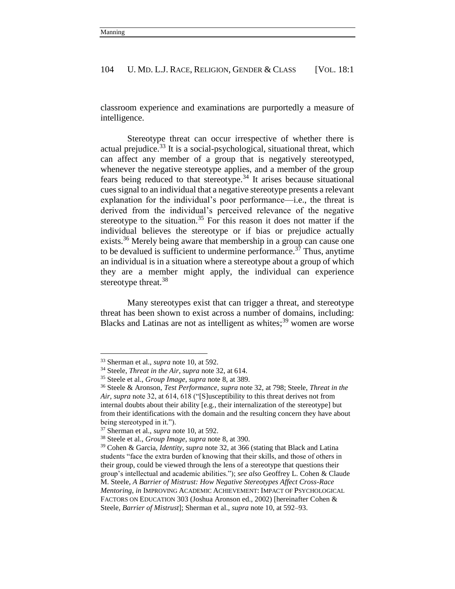classroom experience and examinations are purportedly a measure of intelligence.

Stereotype threat can occur irrespective of whether there is actual prejudice. $33$  It is a social-psychological, situational threat, which can affect any member of a group that is negatively stereotyped, whenever the negative stereotype applies, and a member of the group fears being reduced to that stereotype.<sup>34</sup> It arises because situational cues signal to an individual that a negative stereotype presents a relevant explanation for the individual's poor performance—i.e., the threat is derived from the individual's perceived relevance of the negative stereotype to the situation.<sup>35</sup> For this reason it does not matter if the individual believes the stereotype or if bias or prejudice actually exists.<sup>36</sup> Merely being aware that membership in a group can cause one to be devalued is sufficient to undermine performance.<sup>37</sup> Thus, anytime an individual is in a situation where a stereotype about a group of which they are a member might apply, the individual can experience stereotype threat.<sup>38</sup>

Many stereotypes exist that can trigger a threat, and stereotype threat has been shown to exist across a number of domains, including: Blacks and Latinas are not as intelligent as whites; $39$  women are worse

<sup>33</sup> Sherman et al., *supra* note 10, at 592.

<sup>34</sup> Steele, *Threat in the Air*, *supra* note 32, at 614.

<sup>35</sup> Steele et al., *Group Image*, *supra* note 8, at 389.

<sup>36</sup> Steele & Aronson, *Test Performance*, *supra* note 32, at 798; Steele, *Threat in the Air*, *supra* note 32, at 614, 618 ("[S]usceptibility to this threat derives not from internal doubts about their ability [e.g., their internalization of the stereotype] but from their identifications with the domain and the resulting concern they have about being stereotyped in it.").

<sup>37</sup> Sherman et al., *supra* note 10, at 592.

<sup>38</sup> Steele et al., *Group Image*, *supra* note 8, at 390.

<sup>39</sup> Cohen & Garcia, *Identity*, *supra* note 32, at 366 (stating that Black and Latina students "face the extra burden of knowing that their skills, and those of others in their group, could be viewed through the lens of a stereotype that questions their group's intellectual and academic abilities."); *see also* Geoffrey L. Cohen & Claude M. Steele, *A Barrier of Mistrust: How Negative Stereotypes Affect Cross-Race Mentoring*, *in* IMPROVING ACADEMIC ACHIEVEMENT: IMPACT OF PSYCHOLOGICAL FACTORS ON EDUCATION 303 (Joshua Aronson ed., 2002) [hereinafter Cohen & Steele, *Barrier of Mistrust*]; Sherman et al., *supra* note 10, at 592–93.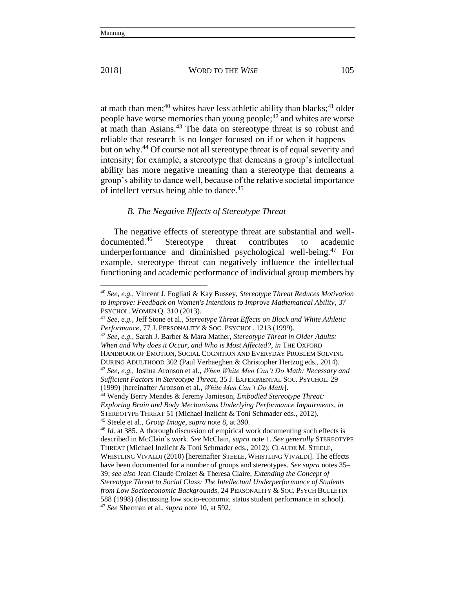at math than men;<sup>40</sup> whites have less athletic ability than blacks;<sup>41</sup> older people have worse memories than young people; $^{42}$  and whites are worse at math than Asians.<sup>43</sup> The data on stereotype threat is so robust and reliable that research is no longer focused on if or when it happens but on why.<sup>44</sup> Of course not all stereotype threat is of equal severity and intensity; for example, a stereotype that demeans a group's intellectual ability has more negative meaning than a stereotype that demeans a group's ability to dance well, because of the relative societal importance of intellect versus being able to dance.<sup>45</sup>

### *B. The Negative Effects of Stereotype Threat*

The negative effects of stereotype threat are substantial and welldocumented.<sup>46</sup> Stereotype threat contributes to academic underperformance and diminished psychological well-being.<sup>47</sup> For example, stereotype threat can negatively influence the intellectual functioning and academic performance of individual group members by

(1999) [hereinafter Aronson et al., *White Men Can't Do Math*].

<sup>40</sup> *See, e.g.*, Vincent J. Fogliati & Kay Bussey, *Stereotype Threat Reduces Motivation to Improve: Feedback on Women's Intentions to Improve Mathematical Ability*, 37 PSYCHOL. WOMEN Q. 310 (2013).

<sup>41</sup> *See, e.g.*, Jeff Stone et al., *Stereotype Threat Effects on Black and White Athletic Performance*, 77 J. PERSONALITY & SOC. PSYCHOL. 1213 (1999).

<sup>42</sup> *See, e.g.*, Sarah J. Barber & Mara Mather, *Stereotype Threat in Older Adults: When and Why does it Occur, and Who is Most Affected?*, *in* THE OXFORD HANDBOOK OF EMOTION, SOCIAL COGNITION AND EVERYDAY PROBLEM SOLVING DURING ADULTHOOD 302 (Paul Verhaeghen & Christopher Hertzog eds., 2014). <sup>43</sup> *See, e.g.*, Joshua Aronson et al., *When White Men Can't Do Math: Necessary and Sufficient Factors in Stereotype Threat*, 35 J. EXPERIMENTAL SOC. PSYCHOL. 29

<sup>44</sup> Wendy Berry Mendes & Jeremy Jamieson, *Embodied Stereotype Threat: Exploring Brain and Body Mechanisms Underlying Performance Impairments*, *in*  STEREOTYPE THREAT 51 (Michael Inzlicht & Toni Schmader eds., 2012). <sup>45</sup> Steele et al., *Group Image*, *supra* note 8, at 390.

<sup>46</sup> *Id.* at 385. A thorough discussion of empirical work documenting such effects is described in McClain's work. *See* McClain, *supra* note 1. *See generally* STEREOTYPE THREAT (Michael Inzlicht & Toni Schmader eds., 2012); CLAUDE M. STEELE, WHISTLING VIVALDI (2010) [hereinafter STEELE, WHISTLING VIVALDI]. The effects have been documented for a number of groups and stereotypes. *See supra* notes 35– 39; *see also* Jean Claude Croizet & Theresa Claire, *Extending the Concept of Stereotype Threat to Social Class: The Intellectual Underperformance of Students from Low Socioeconomic Backgrounds*, 24 PERSONALITY & SOC. PSYCH BULLETIN 588 (1998) (discussing low socio-economic status student performance in school). <sup>47</sup> *See* Sherman et al., *supra* note 10, at 592*.*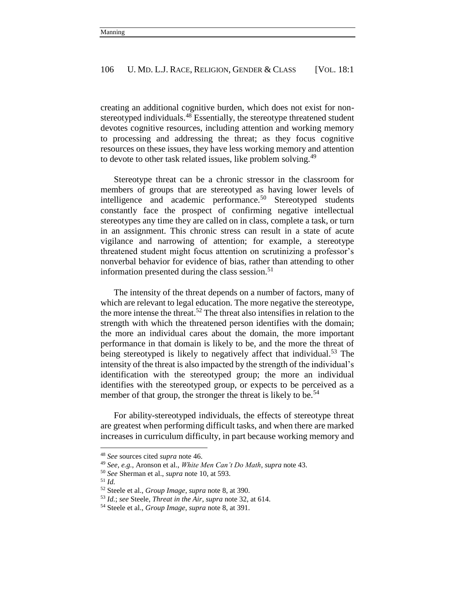creating an additional cognitive burden, which does not exist for nonstereotyped individuals.<sup>48</sup> Essentially, the stereotype threatened student devotes cognitive resources, including attention and working memory to processing and addressing the threat; as they focus cognitive resources on these issues, they have less working memory and attention to devote to other task related issues, like problem solving.<sup>49</sup>

Stereotype threat can be a chronic stressor in the classroom for members of groups that are stereotyped as having lower levels of intelligence and academic performance.<sup>50</sup> Stereotyped students constantly face the prospect of confirming negative intellectual stereotypes any time they are called on in class, complete a task, or turn in an assignment. This chronic stress can result in a state of acute vigilance and narrowing of attention; for example, a stereotype threatened student might focus attention on scrutinizing a professor's nonverbal behavior for evidence of bias, rather than attending to other information presented during the class session. $51$ 

The intensity of the threat depends on a number of factors, many of which are relevant to legal education. The more negative the stereotype, the more intense the threat.<sup>52</sup> The threat also intensifies in relation to the strength with which the threatened person identifies with the domain; the more an individual cares about the domain, the more important performance in that domain is likely to be, and the more the threat of being stereotyped is likely to negatively affect that individual.<sup>53</sup> The intensity of the threat is also impacted by the strength of the individual's identification with the stereotyped group; the more an individual identifies with the stereotyped group, or expects to be perceived as a member of that group, the stronger the threat is likely to be.<sup>54</sup>

For ability-stereotyped individuals, the effects of stereotype threat are greatest when performing difficult tasks, and when there are marked increases in curriculum difficulty, in part because working memory and

<sup>48</sup> *See* sources cited *supra* note 46.

<sup>49</sup> *See, e.g.*, Aronson et al., *White Men Can't Do Math*, *supra* note 43.

<sup>50</sup> *See* Sherman et al., *supra* note 10, at 593.

<sup>51</sup> *Id.*

<sup>52</sup> Steele et al., *Group Image*, *supra* note 8, at 390.

<sup>53</sup> *Id.*; *see* Steele, *Threat in the Air*, *supra* note 32, at 614.

<sup>54</sup> Steele et al., *Group Image*, *supra* note 8, at 391.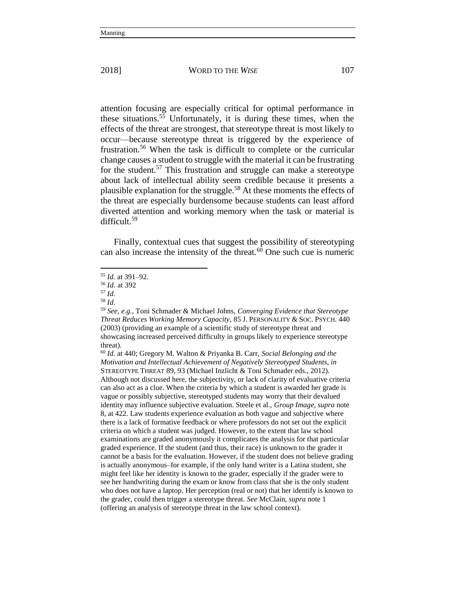attention focusing are especially critical for optimal performance in these situations.<sup>55</sup> Unfortunately, it is during these times, when the effects of the threat are strongest, that stereotype threat is most likely to occur—because stereotype threat is triggered by the experience of frustration.<sup>56</sup> When the task is difficult to complete or the curricular change causes a student to struggle with the material it can be frustrating for the student.<sup>57</sup> This frustration and struggle can make a stereotype about lack of intellectual ability seem credible because it presents a plausible explanation for the struggle.<sup>58</sup> At these moments the effects of the threat are especially burdensome because students can least afford diverted attention and working memory when the task or material is difficult.<sup>59</sup>

Finally, contextual cues that suggest the possibility of stereotyping can also increase the intensity of the threat. $60$  One such cue is numeric

<sup>55</sup> *Id.* at 391–92.

<sup>56</sup> *Id.* at 392

<sup>57</sup> *Id.*

<sup>58</sup> *Id.*

<sup>59</sup> *See, e.g.*, Toni Schmader & Michael Johns, *Converging Evidence that Stereotype Threat Reduces Working Memory Capacity*, 85 J. PERSONALITY & SOC. PSYCH. 440 (2003) (providing an example of a scientific study of stereotype threat and showcasing increased perceived difficulty in groups likely to experience stereotype threat).

<sup>60</sup> *Id.* at 440; Gregory M. Walton & Priyanka B. Carr, *Social Belonging and the Motivation and Intellectual Achievement of Negatively Stereotyped Students*, *in* STEREOTYPE THREAT 89, 93 (Michael Inzlicht & Toni Schmader eds., 2012). Although not discussed here, the subjectivity, or lack of clarity of evaluative criteria can also act as a clue. When the criteria by which a student is awarded her grade is vague or possibly subjective, stereotyped students may worry that their devalued identity may influence subjective evaluation. Steele et al., *Group Image*, *supra* note 8, at 422. Law students experience evaluation as both vague and subjective where there is a lack of formative feedback or where professors do not set out the explicit criteria on which a student was judged. However, to the extent that law school examinations are graded anonymously it complicates the analysis for that particular graded experience. If the student (and thus, their race) is unknown to the grader it cannot be a basis for the evaluation. However, if the student does not believe grading is actually anonymous–for example, if the only hand writer is a Latina student, she might feel like her identity is known to the grader, especially if the grader were to see her handwriting during the exam or know from class that she is the only student who does not have a laptop. Her perception (real or not) that her identify is known to the grader, could then trigger a stereotype threat. *See* McClain, *supra* note 1 (offering an analysis of stereotype threat in the law school context).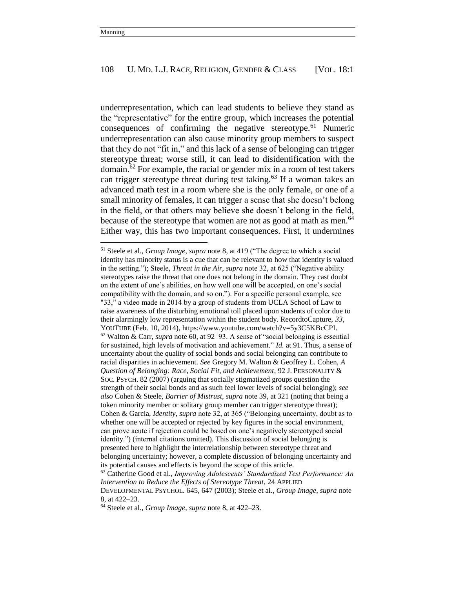$\overline{a}$ 

underrepresentation, which can lead students to believe they stand as the "representative" for the entire group, which increases the potential consequences of confirming the negative stereotype.<sup>61</sup> Numeric underrepresentation can also cause minority group members to suspect that they do not "fit in," and this lack of a sense of belonging can trigger stereotype threat; worse still, it can lead to disidentification with the domain.<sup>62</sup> For example, the racial or gender mix in a room of test takers can trigger stereotype threat during test taking.<sup>63</sup> If a woman takes an advanced math test in a room where she is the only female, or one of a small minority of females, it can trigger a sense that she doesn't belong in the field, or that others may believe she doesn't belong in the field, because of the stereotype that women are not as good at math as men.<sup>64</sup> Either way, this has two important consequences. First, it undermines

<sup>61</sup> Steele et al., *Group Image*, *supra* note 8, at 419 ("The degree to which a social identity has minority status is a cue that can be relevant to how that identity is valued in the setting."); Steele, *Threat in the Air*, *supra* note 32, at 625 ("Negative ability stereotypes raise the threat that one does not belong in the domain. They cast doubt on the extent of one's abilities, on how well one will be accepted, on one's social compatibility with the domain, and so on."). For a specific personal example, see "33," a video made in 2014 by a group of students from UCLA School of Law to raise awareness of the disturbing emotional toll placed upon students of color due to their alarmingly low representation within the student body. RecordtoCapture, *33*, YOUTUBE (Feb. 10, 2014), https://www.youtube.com/watch?v=5y3C5KBcCPI. <sup>62</sup> Walton & Carr, *supra* note 60, at 92–93. A sense of "social belonging is essential for sustained, high levels of motivation and achievement." *Id.* at 91. Thus, a sense of uncertainty about the quality of social bonds and social belonging can contribute to racial disparities in achievement. *See* Gregory M. Walton & Geoffrey L. Cohen, *A Question of Belonging: Race, Social Fit, and Achievement*, 92 J. PERSONALITY & SOC. PSYCH. 82 (2007) (arguing that socially stigmatized groups question the strength of their social bonds and as such feel lower levels of social belonging); *see also* Cohen & Steele, *Barrier of Mistrust*, *supra* note 39, at 321 (noting that being a token minority member or solitary group member can trigger stereotype threat); Cohen & Garcia, *Identity*, *supra* note 32, at 365 ("Belonging uncertainty, doubt as to whether one will be accepted or rejected by key figures in the social environment, can prove acute if rejection could be based on one's negatively stereotyped social identity.") (internal citations omitted). This discussion of social belonging is presented here to highlight the interrelationship between stereotype threat and belonging uncertainty; however, a complete discussion of belonging uncertainty and its potential causes and effects is beyond the scope of this article. <sup>63</sup> Catherine Good et al., *Improving Adolescents' Standardized Test Performance: An Intervention to Reduce the Effects of Stereotype Threat*, 24 APPLIED DEVELOPMENTAL PSYCHOL. 645, 647 (2003); Steele et al., *Group Image*, *supra* note

<sup>8,</sup> at 422–23.

<sup>64</sup> Steele et al., *Group Image*, *supra* note 8, at 422–23.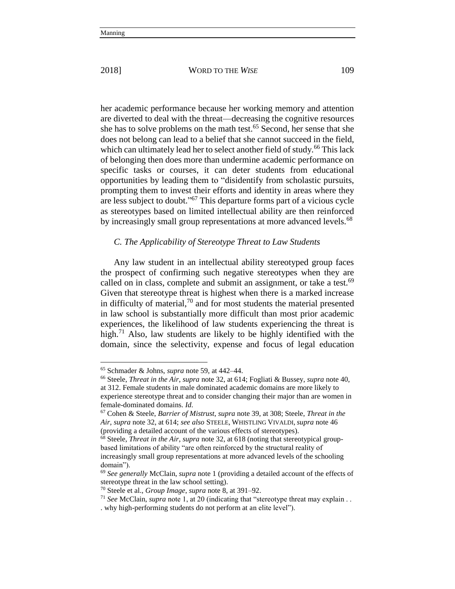her academic performance because her working memory and attention are diverted to deal with the threat—decreasing the cognitive resources she has to solve problems on the math test.<sup>65</sup> Second, her sense that she does not belong can lead to a belief that she cannot succeed in the field, which can ultimately lead her to select another field of study.<sup>66</sup> This lack of belonging then does more than undermine academic performance on specific tasks or courses, it can deter students from educational opportunities by leading them to "disidentify from scholastic pursuits, prompting them to invest their efforts and identity in areas where they are less subject to doubt." <sup>67</sup> This departure forms part of a vicious cycle as stereotypes based on limited intellectual ability are then reinforced by increasingly small group representations at more advanced levels.<sup>68</sup>

# *C. The Applicability of Stereotype Threat to Law Students*

Any law student in an intellectual ability stereotyped group faces the prospect of confirming such negative stereotypes when they are called on in class, complete and submit an assignment, or take a test.<sup>69</sup> Given that stereotype threat is highest when there is a marked increase in difficulty of material,  $\frac{70}{9}$  and for most students the material presented in law school is substantially more difficult than most prior academic experiences, the likelihood of law students experiencing the threat is high.<sup>71</sup> Also, law students are likely to be highly identified with the domain, since the selectivity, expense and focus of legal education

<sup>65</sup> Schmader & Johns, *supra* note 59, at 442–44.

<sup>66</sup> Steele, *Threat in the Air*, *supra* note 32, at 614; Fogliati & Bussey, *supra* note 40, at 312. Female students in male dominated academic domains are more likely to experience stereotype threat and to consider changing their major than are women in female-dominated domains. *Id.*

<sup>67</sup> Cohen & Steele, *Barrier of Mistrust*, *supra* note 39, at 308; Steele, *Threat in the Air*, *supra* note 32, at 614; *see also* STEELE, WHISTLING VIVALDI, *supra* note 46 (providing a detailed account of the various effects of stereotypes).

<sup>68</sup> Steele, *Threat in the Air*, *supra* note 32, at 618 (noting that stereotypical groupbased limitations of ability "are often reinforced by the structural reality of increasingly small group representations at more advanced levels of the schooling domain").

<sup>69</sup> *See generally* McClain, *supra* note 1 (providing a detailed account of the effects of stereotype threat in the law school setting).

<sup>70</sup> Steele et al., *Group Image*, *supra* note 8, at 391–92.

<sup>71</sup> *See* McClain, *supra* note 1, at 20 (indicating that "stereotype threat may explain . .

<sup>.</sup> why high-performing students do not perform at an elite level").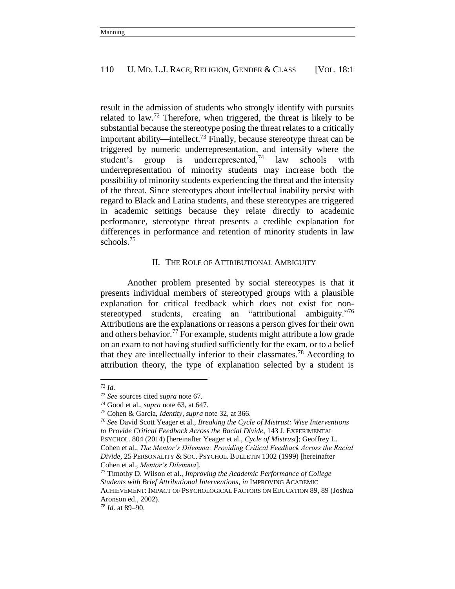result in the admission of students who strongly identify with pursuits related to law.<sup>72</sup> Therefore, when triggered, the threat is likely to be substantial because the stereotype posing the threat relates to a critically important ability—intellect.<sup>73</sup> Finally, because stereotype threat can be triggered by numeric underrepresentation, and intensify where the student's group is underrepresented,<sup>74</sup> law schools with underrepresentation of minority students may increase both the possibility of minority students experiencing the threat and the intensity of the threat. Since stereotypes about intellectual inability persist with regard to Black and Latina students, and these stereotypes are triggered in academic settings because they relate directly to academic performance, stereotype threat presents a credible explanation for differences in performance and retention of minority students in law schools.<sup>75</sup>

### II. THE ROLE OF ATTRIBUTIONAL AMBIGUITY

Another problem presented by social stereotypes is that it presents individual members of stereotyped groups with a plausible explanation for critical feedback which does not exist for nonstereotyped students, creating an "attributional ambiguity."<sup>76</sup> Attributions are the explanations or reasons a person gives for their own and others behavior.<sup>77</sup> For example, students might attribute a low grade on an exam to not having studied sufficiently for the exam, or to a belief that they are intellectually inferior to their classmates.<sup>78</sup> According to attribution theory, the type of explanation selected by a student is

<sup>72</sup> *Id.*

<sup>73</sup> *See* sources cited *supra* note 67.

<sup>74</sup> Good et al., *supra* note 63, at 647.

<sup>75</sup> Cohen & Garcia, *Identity*, *supra* note 32, at 366.

<sup>76</sup> *See* David Scott Yeager et al., *Breaking the Cycle of Mistrust: Wise Interventions to Provide Critical Feedback Across the Racial Divide*, 143 J. EXPERIMENTAL PSYCHOL. 804 (2014) [hereinafter Yeager et al., *Cycle of Mistrust*]; Geoffrey L.

Cohen et al., *The Mentor's Dilemma: Providing Critical Feedback Across the Racial Divide*, 25 PERSONALITY & SOC. PSYCHOL. BULLETIN 1302 (1999) [hereinafter Cohen et al., *Mentor's Dilemma*].

<sup>77</sup> Timothy D. Wilson et al., *Improving the Academic Performance of College Students with Brief Attributional Interventions*, *in* IMPROVING ACADEMIC ACHIEVEMENT: IMPACT OF PSYCHOLOGICAL FACTORS ON EDUCATION 89, 89 (Joshua Aronson ed., 2002).

<sup>78</sup> *Id.* at 89–90.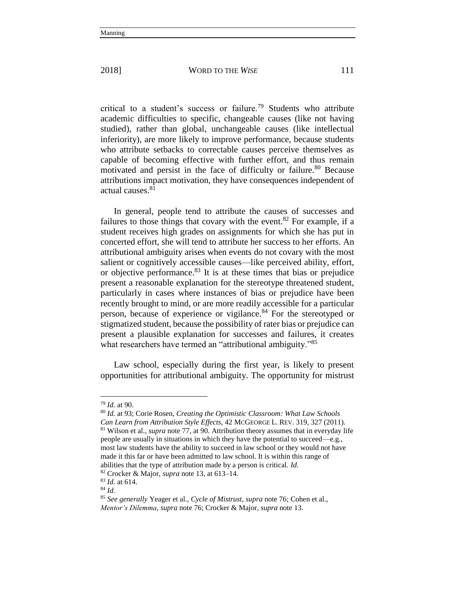critical to a student's success or failure.<sup>79</sup> Students who attribute academic difficulties to specific, changeable causes (like not having studied), rather than global, unchangeable causes (like intellectual inferiority), are more likely to improve performance, because students who attribute setbacks to correctable causes perceive themselves as capable of becoming effective with further effort, and thus remain motivated and persist in the face of difficulty or failure.<sup>80</sup> Because attributions impact motivation, they have consequences independent of actual causes.<sup>81</sup>

In general, people tend to attribute the causes of successes and failures to those things that covary with the event.<sup>82</sup> For example, if a student receives high grades on assignments for which she has put in concerted effort, she will tend to attribute her success to her efforts. An attributional ambiguity arises when events do not covary with the most salient or cognitively accessible causes—like perceived ability, effort, or objective performance.<sup>83</sup> It is at these times that bias or prejudice present a reasonable explanation for the stereotype threatened student, particularly in cases where instances of bias or prejudice have been recently brought to mind, or are more readily accessible for a particular person, because of experience or vigilance.<sup>84</sup> For the stereotyped or stigmatized student, because the possibility of rater bias or prejudice can present a plausible explanation for successes and failures, it creates what researchers have termed an "attributional ambiguity."<sup>85</sup>

Law school, especially during the first year, is likely to present opportunities for attributional ambiguity. The opportunity for mistrust

<sup>79</sup> *Id.* at 90.

<sup>80</sup> *Id.* at 93; Corie Rosen, *Creating the Optimistic Classroom: What Law Schools Can Learn from Attribution Style Effects*, 42 MCGEORGE L. REV. 319, 327 (2011). <sup>81</sup> Wilson et al., *supra* note 77, at 90. Attribution theory assumes that in everyday life people are usually in situations in which they have the potential to succeed—e.g., most law students have the ability to succeed in law school or they would not have made it this far or have been admitted to law school. It is within this range of abilities that the type of attribution made by a person is critical. *Id.*

<sup>82</sup> Crocker & Major, *supra* note 13, at 613–14.

<sup>83</sup> *Id.* at 614.

<sup>84</sup> *Id.*

<sup>85</sup> *See generally* Yeager et al., *Cycle of Mistrust*, *supra* note 76; Cohen et al., *Mentor's Dilemma*, *supra* note 76; Crocker & Major, *supra* note 13.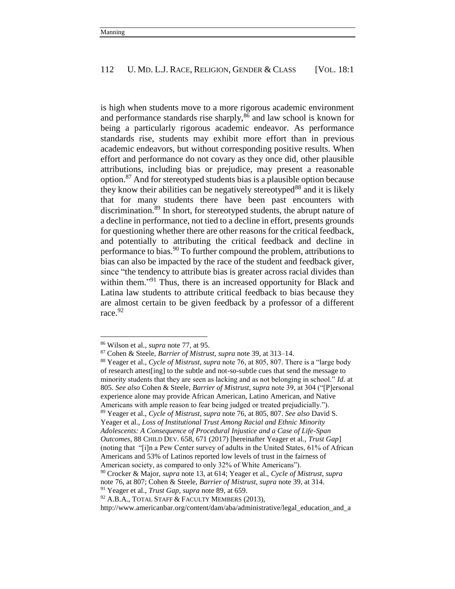is high when students move to a more rigorous academic environment and performance standards rise sharply,  $86$  and law school is known for being a particularly rigorous academic endeavor. As performance standards rise, students may exhibit more effort than in previous academic endeavors, but without corresponding positive results. When effort and performance do not covary as they once did, other plausible attributions, including bias or prejudice, may present a reasonable option.<sup>87</sup> And for stereotyped students bias is a plausible option because they know their abilities can be negatively stereotyped<sup>88</sup> and it is likely that for many students there have been past encounters with discrimination.<sup>89</sup> In short, for stereotyped students, the abrupt nature of a decline in performance, not tied to a decline in effort, presents grounds for questioning whether there are other reasons for the critical feedback, and potentially to attributing the critical feedback and decline in performance to bias.<sup>90</sup> To further compound the problem, attributions to bias can also be impacted by the race of the student and feedback giver, since "the tendency to attribute bias is greater across racial divides than within them."<sup>91</sup> Thus, there is an increased opportunity for Black and Latina law students to attribute critical feedback to bias because they are almost certain to be given feedback by a professor of a different race.<sup>92</sup>

<sup>86</sup> Wilson et al., *supra* note 77, at 95.

<sup>87</sup> Cohen & Steele, *Barrier of Mistrust*, *supra* note 39, at 313–14.

<sup>88</sup> Yeager et al., *Cycle of Mistrust*, *supra* note 76, at 805, 807. There is a "large body of research attest[ing] to the subtle and not-so-subtle cues that send the message to minority students that they are seen as lacking and as not belonging in school." *Id.* at 805. *See also* Cohen & Steele, *Barrier of Mistrust*, *supra* note 39, at 304 ("[P]ersonal experience alone may provide African American, Latino American, and Native Americans with ample reason to fear being judged or treated prejudicially."). <sup>89</sup> Yeager et al., *Cycle of Mistrust*, *supra* note 76, at 805, 807. *See also* David S. Yeager et al., *Loss of Institutional Trust Among Racial and Ethnic Minority Adolescents: A Consequence of Procedural Injustice and a Case of Life-Span Outcomes*, 88 CHILD DEV. 658, 671 (2017) [hereinafter Yeager et al., *Trust Gap*] (noting that "[i]n a Pew Center survey of adults in the United States, 61% of African Americans and 53% of Latinos reported low levels of trust in the fairness of American society, as compared to only 32% of White Americans"). <sup>90</sup> Crocker & Major, *supra* note 13, at 614; Yeager et al., *Cycle of Mistrust*, *supra* note 76, at 807; Cohen & Steele, *Barrier of Mistrust*, *supra* note 39, at 314.

<sup>91</sup> Yeager et al., *Trust Gap*, *supra* note 89, at 659.

<sup>92</sup> A.B.A., TOTAL STAFF & FACULTY MEMBERS (2013),

http://www.americanbar.org/content/dam/aba/administrative/legal\_education\_and\_a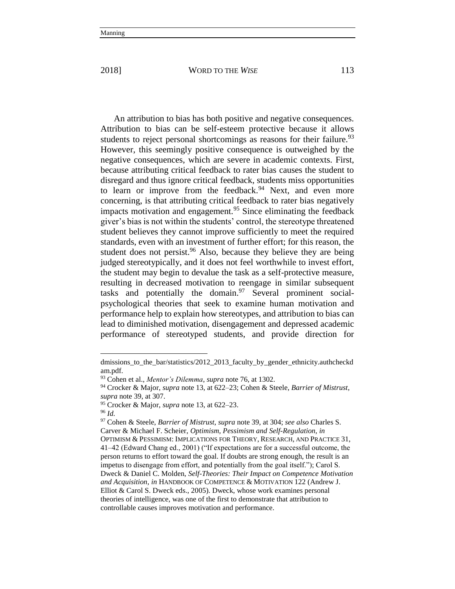An attribution to bias has both positive and negative consequences. Attribution to bias can be self-esteem protective because it allows students to reject personal shortcomings as reasons for their failure.<sup>93</sup> However, this seemingly positive consequence is outweighed by the negative consequences, which are severe in academic contexts. First, because attributing critical feedback to rater bias causes the student to disregard and thus ignore critical feedback, students miss opportunities to learn or improve from the feedback.<sup>94</sup> Next, and even more concerning, is that attributing critical feedback to rater bias negatively impacts motivation and engagement.<sup>95</sup> Since eliminating the feedback giver's bias is not within the students' control, the stereotype threatened student believes they cannot improve sufficiently to meet the required standards, even with an investment of further effort; for this reason, the student does not persist.<sup>96</sup> Also, because they believe they are being judged stereotypically, and it does not feel worthwhile to invest effort, the student may begin to devalue the task as a self-protective measure, resulting in decreased motivation to reengage in similar subsequent tasks and potentially the domain. $\frac{97}{7}$  Several prominent socialpsychological theories that seek to examine human motivation and performance help to explain how stereotypes, and attribution to bias can lead to diminished motivation, disengagement and depressed academic performance of stereotyped students, and provide direction for

dmissions\_to\_the\_bar/statistics/2012\_2013\_faculty\_by\_gender\_ethnicity.authcheckd am.pdf.

<sup>93</sup> Cohen et al., *Mentor's Dilemma*, *supra* note 76, at 1302.

<sup>94</sup> Crocker & Major, *supra* note 13, at 622–23; Cohen & Steele, *Barrier of Mistrust*, *supra* note 39, at 307.

<sup>95</sup> Crocker & Major, *supra* note 13, at 622–23.

<sup>96</sup> *Id.*

<sup>97</sup> Cohen & Steele, *Barrier of Mistrust*, *supra* note 39, at 304; *see also* Charles S. Carver & Michael F. Scheier, *Optimism, Pessimism and Self-Regulation*, *in* OPTIMISM & PESSIMISM: IMPLICATIONS FOR THEORY, RESEARCH, AND PRACTICE 31, 41–42 (Edward Chang ed., 2001) ("If expectations are for a successful outcome, the person returns to effort toward the goal. If doubts are strong enough, the result is an impetus to disengage from effort, and potentially from the goal itself."); Carol S. Dweck & Daniel C. Molden, *Self-Theories: Their Impact on Competence Motivation and Acquisition*, *in* HANDBOOK OF COMPETENCE & MOTIVATION 122 (Andrew J. Elliot & Carol S. Dweck eds., 2005). Dweck, whose work examines personal theories of intelligence, was one of the first to demonstrate that attribution to controllable causes improves motivation and performance.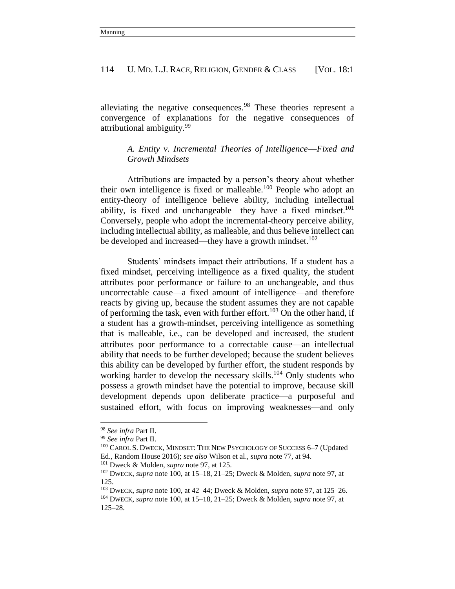alleviating the negative consequences.<sup>98</sup> These theories represent a convergence of explanations for the negative consequences of attributional ambiguity.<sup>99</sup>

# *A. Entity v. Incremental Theories of Intelligence*—*Fixed and Growth Mindsets*

Attributions are impacted by a person's theory about whether their own intelligence is fixed or malleable.<sup>100</sup> People who adopt an entity-theory of intelligence believe ability, including intellectual ability, is fixed and unchangeable—they have a fixed mindset.<sup>101</sup> Conversely, people who adopt the incremental-theory perceive ability, including intellectual ability, as malleable, and thus believe intellect can be developed and increased—they have a growth mindset.<sup>102</sup>

Students' mindsets impact their attributions. If a student has a fixed mindset, perceiving intelligence as a fixed quality, the student attributes poor performance or failure to an unchangeable, and thus uncorrectable cause—a fixed amount of intelligence—and therefore reacts by giving up, because the student assumes they are not capable of performing the task, even with further effort.<sup>103</sup> On the other hand, if a student has a growth-mindset, perceiving intelligence as something that is malleable, i.e., can be developed and increased, the student attributes poor performance to a correctable cause—an intellectual ability that needs to be further developed; because the student believes this ability can be developed by further effort, the student responds by working harder to develop the necessary skills.<sup>104</sup> Only students who possess a growth mindset have the potential to improve, because skill development depends upon deliberate practice—a purposeful and sustained effort, with focus on improving weaknesses—and only

 $\overline{a}$ 

<sup>101</sup> Dweck & Molden, *supra* note 97, at 125.

<sup>98</sup> *See infra* Part II.

<sup>99</sup> *See infra* Part II.

<sup>100</sup> CAROL S. DWECK, MINDSET: THE NEW PSYCHOLOGY OF SUCCESS 6–7 (Updated Ed., Random House 2016); *see also* Wilson et al., *supra* note 77, at 94.

<sup>102</sup> DWECK, *supra* note 100, at 15–18, 21–25; Dweck & Molden, *supra* note 97, at 125.

<sup>103</sup> DWECK, *supra* note 100, at 42–44; Dweck & Molden, *supra* note 97, at 125–26. <sup>104</sup> DWECK, *supra* note 100, at 15–18, 21–25; Dweck & Molden, *supra* note 97, at 125–28.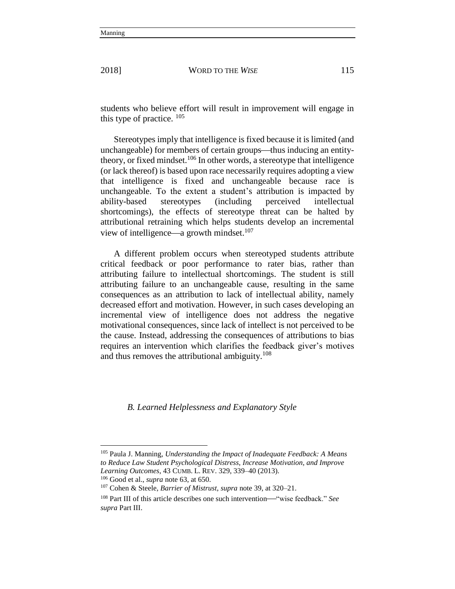students who believe effort will result in improvement will engage in this type of practice. <sup>105</sup>

Stereotypes imply that intelligence is fixed because it is limited (and unchangeable) for members of certain groups—thus inducing an entitytheory, or fixed mindset.<sup>106</sup> In other words, a stereotype that intelligence (or lack thereof) is based upon race necessarily requires adopting a view that intelligence is fixed and unchangeable because race is unchangeable. To the extent a student's attribution is impacted by ability-based stereotypes (including perceived intellectual shortcomings), the effects of stereotype threat can be halted by attributional retraining which helps students develop an incremental view of intelligence—a growth mindset.<sup>107</sup>

A different problem occurs when stereotyped students attribute critical feedback or poor performance to rater bias, rather than attributing failure to intellectual shortcomings. The student is still attributing failure to an unchangeable cause, resulting in the same consequences as an attribution to lack of intellectual ability, namely decreased effort and motivation. However, in such cases developing an incremental view of intelligence does not address the negative motivational consequences, since lack of intellect is not perceived to be the cause. Instead, addressing the consequences of attributions to bias requires an intervention which clarifies the feedback giver's motives and thus removes the attributional ambiguity.<sup>108</sup>

*B. Learned Helplessness and Explanatory Style*

<sup>105</sup> Paula J. Manning, *Understanding the Impact of Inadequate Feedback: A Means to Reduce Law Student Psychological Distress, Increase Motivation, and Improve Learning Outcomes*, 43 CUMB. L. REV. 329, 339–40 (2013).

<sup>106</sup> Good et al., *supra* note 63, at 650.

<sup>107</sup> Cohen & Steele, *Barrier of Mistrust*, *supra* note 39, at 320–21.

<sup>&</sup>lt;sup>108</sup> Part III of this article describes one such intervention—"wise feedback." *See supra* Part III.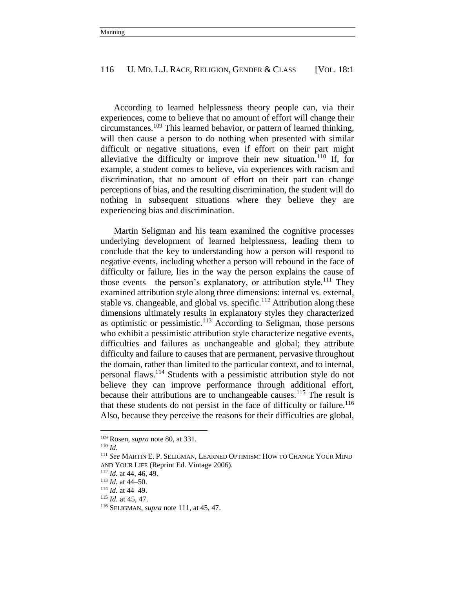According to learned helplessness theory people can, via their experiences, come to believe that no amount of effort will change their circumstances.<sup>109</sup> This learned behavior, or pattern of learned thinking, will then cause a person to do nothing when presented with similar difficult or negative situations, even if effort on their part might alleviative the difficulty or improve their new situation.<sup>110</sup> If, for example, a student comes to believe, via experiences with racism and discrimination, that no amount of effort on their part can change perceptions of bias, and the resulting discrimination, the student will do nothing in subsequent situations where they believe they are experiencing bias and discrimination.

Martin Seligman and his team examined the cognitive processes underlying development of learned helplessness, leading them to conclude that the key to understanding how a person will respond to negative events, including whether a person will rebound in the face of difficulty or failure, lies in the way the person explains the cause of those events—the person's explanatory, or attribution style.<sup>111</sup> They examined attribution style along three dimensions: internal vs. external, stable vs. changeable, and global vs. specific. $112$  Attribution along these dimensions ultimately results in explanatory styles they characterized as optimistic or pessimistic. $113$  According to Seligman, those persons who exhibit a pessimistic attribution style characterize negative events, difficulties and failures as unchangeable and global; they attribute difficulty and failure to causes that are permanent, pervasive throughout the domain, rather than limited to the particular context, and to internal, personal flaws.<sup>114</sup> Students with a pessimistic attribution style do not believe they can improve performance through additional effort, because their attributions are to unchangeable causes.<sup>115</sup> The result is that these students do not persist in the face of difficulty or failure.<sup>116</sup> Also, because they perceive the reasons for their difficulties are global,

<sup>109</sup> Rosen, *supra* note 80, at 331.

<sup>110</sup> *Id*.

<sup>111</sup> *See* MARTIN E. P. SELIGMAN, LEARNED OPTIMISM: HOW TO CHANGE YOUR MIND AND YOUR LIFE (Reprint Ed. Vintage 2006).

<sup>112</sup> *Id.* at 44, 46, 49.

<sup>113</sup> *Id.* at 44–50.

<sup>114</sup> *Id.* at 44–49.

<sup>115</sup> *Id.* at 45, 47.

<sup>116</sup> SELIGMAN, *supra* note 111, at 45, 47.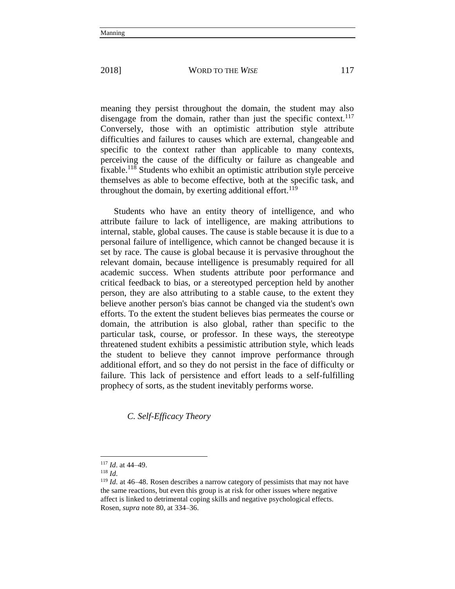meaning they persist throughout the domain, the student may also disengage from the domain, rather than just the specific context. $117$ Conversely, those with an optimistic attribution style attribute difficulties and failures to causes which are external, changeable and specific to the context rather than applicable to many contexts, perceiving the cause of the difficulty or failure as changeable and fixable.<sup>118</sup> Students who exhibit an optimistic attribution style perceive themselves as able to become effective, both at the specific task, and throughout the domain, by exerting additional effort.<sup>119</sup>

Students who have an entity theory of intelligence, and who attribute failure to lack of intelligence, are making attributions to internal, stable, global causes. The cause is stable because it is due to a personal failure of intelligence, which cannot be changed because it is set by race. The cause is global because it is pervasive throughout the relevant domain, because intelligence is presumably required for all academic success. When students attribute poor performance and critical feedback to bias, or a stereotyped perception held by another person, they are also attributing to a stable cause, to the extent they believe another person's bias cannot be changed via the student's own efforts. To the extent the student believes bias permeates the course or domain, the attribution is also global, rather than specific to the particular task, course, or professor. In these ways, the stereotype threatened student exhibits a pessimistic attribution style, which leads the student to believe they cannot improve performance through additional effort, and so they do not persist in the face of difficulty or failure. This lack of persistence and effort leads to a self-fulfilling prophecy of sorts, as the student inevitably performs worse.

*C. Self-Efficacy Theory*

<sup>117</sup> *Id*. at 44–49.

<sup>118</sup> *Id.*

<sup>119</sup> *Id.* at 46–48. Rosen describes a narrow category of pessimists that may not have the same reactions, but even this group is at risk for other issues where negative affect is linked to detrimental coping skills and negative psychological effects. Rosen, *supra* note 80, at 334–36.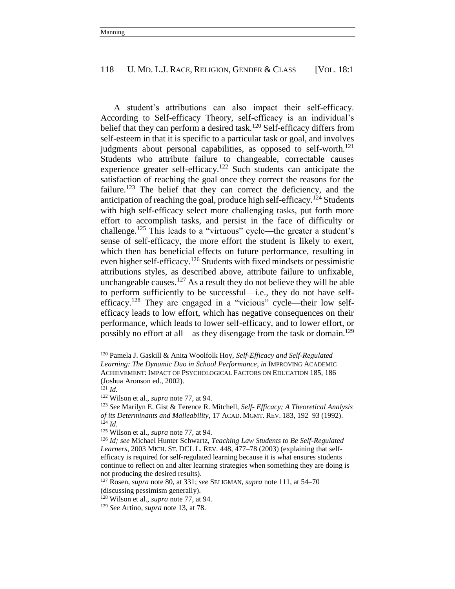A student's attributions can also impact their self-efficacy. According to Self-efficacy Theory, self-efficacy is an individual's belief that they can perform a desired task.<sup>120</sup> Self-efficacy differs from self-esteem in that it is specific to a particular task or goal, and involves judgments about personal capabilities, as opposed to self-worth.<sup>121</sup> Students who attribute failure to changeable, correctable causes experience greater self-efficacy.<sup>122</sup> Such students can anticipate the satisfaction of reaching the goal once they correct the reasons for the failure.<sup>123</sup> The belief that they can correct the deficiency, and the anticipation of reaching the goal, produce high self-efficacy.<sup>124</sup> Students with high self-efficacy select more challenging tasks, put forth more effort to accomplish tasks, and persist in the face of difficulty or challenge.<sup>125</sup> This leads to a "virtuous" cycle—the greater a student's sense of self-efficacy, the more effort the student is likely to exert, which then has beneficial effects on future performance, resulting in even higher self-efficacy.<sup>126</sup> Students with fixed mindsets or pessimistic attributions styles, as described above, attribute failure to unfixable, unchangeable causes.<sup>127</sup> As a result they do not believe they will be able to perform sufficiently to be successful—i.e., they do not have selfefficacy.<sup>128</sup> They are engaged in a "vicious" cycle—their low selfefficacy leads to low effort, which has negative consequences on their performance, which leads to lower self-efficacy, and to lower effort, or possibly no effort at all—as they disengage from the task or domain.<sup>129</sup>

<sup>120</sup> Pamela J. Gaskill & Anita Woolfolk Hoy, *Self-Efficacy and Self-Regulated Learning: The Dynamic Duo in School Performance*, *in* IMPROVING ACADEMIC ACHIEVEMENT: IMPACT OF PSYCHOLOGICAL FACTORS ON EDUCATION 185, 186 (Joshua Aronson ed., 2002).

 $121$  *Id.* 

<sup>122</sup> Wilson et al., *supra* note 77, at 94.

<sup>123</sup> *See* Marilyn E. Gist & Terence R. Mitchell, *Self- Efficacy; A Theoretical Analysis of its Determinants and Malleability*, 17 ACAD. MGMT. REV. 183, 192–93 (1992). <sup>124</sup> *Id*.

<sup>125</sup> Wilson et al., *supra* note 77, at 94.

<sup>126</sup> *Id; see* Michael Hunter Schwartz, *Teaching Law Students to Be Self-Regulated Learners*, 2003 MICH. ST. DCL L. REV. 448, 477–78 (2003) (explaining that selfefficacy is required for self-regulated learning because it is what ensures students continue to reflect on and alter learning strategies when something they are doing is not producing the desired results).

<sup>127</sup> Rosen, *supra* note 80, at 331; *see* SELIGMAN, *supra* note 111, at 54–70

<sup>(</sup>discussing pessimism generally).

<sup>128</sup> Wilson et al., *supra* note 77, at 94.

<sup>129</sup> *See* Artino, *supra* note 13, at 78.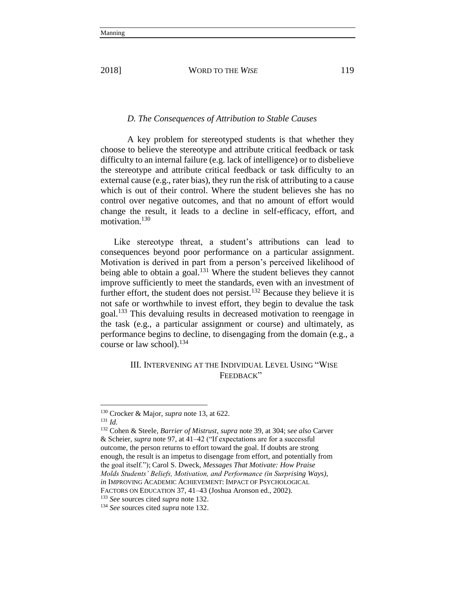*D. The Consequences of Attribution to Stable Causes* 

A key problem for stereotyped students is that whether they choose to believe the stereotype and attribute critical feedback or task difficulty to an internal failure (e.g. lack of intelligence) or to disbelieve the stereotype and attribute critical feedback or task difficulty to an external cause (e.g., rater bias), they run the risk of attributing to a cause which is out of their control. Where the student believes she has no control over negative outcomes, and that no amount of effort would change the result, it leads to a decline in self-efficacy, effort, and motivation.<sup>130</sup>

Like stereotype threat, a student's attributions can lead to consequences beyond poor performance on a particular assignment. Motivation is derived in part from a person's perceived likelihood of being able to obtain a goal.<sup>131</sup> Where the student believes they cannot improve sufficiently to meet the standards, even with an investment of further effort, the student does not persist.<sup>132</sup> Because they believe it is not safe or worthwhile to invest effort, they begin to devalue the task goal.<sup>133</sup> This devaluing results in decreased motivation to reengage in the task (e.g., a particular assignment or course) and ultimately, as performance begins to decline, to disengaging from the domain (e.g., a course or law school). $^{134}$ 

# III. INTERVENING AT THE INDIVIDUAL LEVEL USING "WISE FEEDBACK"

 $\overline{a}$ 

<sup>133</sup> *See* sources cited *supra* note 132.

<sup>130</sup> Crocker & Major, *supra* note 13, at 622.

<sup>131</sup> *Id.*

<sup>132</sup> Cohen & Steele*, Barrier of Mistrust*, *supra* note 39, at 304; s*ee also* Carver & Scheier, *supra* note 97, at 41–42 ("If expectations are for a successful outcome, the person returns to effort toward the goal. If doubts are strong enough, the result is an impetus to disengage from effort, and potentially from the goal itself."); Carol S. Dweck, *Messages That Motivate: How Praise Molds Students' Beliefs, Motivation, and Performance (in Surprising Ways)*, *in* IMPROVING ACADEMIC ACHIEVEMENT: IMPACT OF PSYCHOLOGICAL FACTORS ON EDUCATION 37, 41–43 (Joshua Aronson ed., 2002).

<sup>134</sup> *See* sources cited *supra* note 132.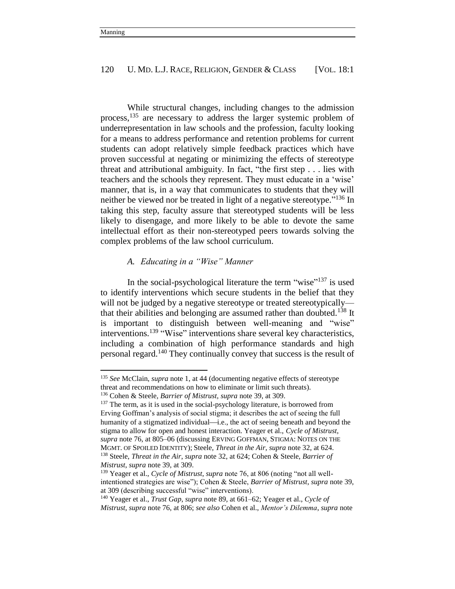$\overline{a}$ 

# 120 U. MD. L.J. RACE, RELIGION, GENDER & CLASS [VOL. 18:1]

While structural changes, including changes to the admission process,<sup>135</sup> are necessary to address the larger systemic problem of underrepresentation in law schools and the profession, faculty looking for a means to address performance and retention problems for current students can adopt relatively simple feedback practices which have proven successful at negating or minimizing the effects of stereotype threat and attributional ambiguity. In fact, "the first step . . . lies with teachers and the schools they represent. They must educate in a 'wise' manner, that is, in a way that communicates to students that they will neither be viewed nor be treated in light of a negative stereotype."<sup>136</sup> In taking this step, faculty assure that stereotyped students will be less likely to disengage, and more likely to be able to devote the same intellectual effort as their non-stereotyped peers towards solving the complex problems of the law school curriculum.

# *A. Educating in a "Wise" Manner*

In the social-psychological literature the term "wise"<sup>137</sup> is used to identify interventions which secure students in the belief that they will not be judged by a negative stereotype or treated stereotypically that their abilities and belonging are assumed rather than doubted.<sup>138</sup> It is important to distinguish between well-meaning and "wise" interventions.<sup>139</sup> "Wise" interventions share several key characteristics, including a combination of high performance standards and high personal regard.<sup>140</sup> They continually convey that success is the result of

<sup>135</sup> *See* McClain, *supra* note 1, at 44 (documenting negative effects of stereotype threat and recommendations on how to eliminate or limit such threats).

<sup>136</sup> Cohen & Steele, *Barrier of Mistrust, supra* note 39, at 309.

<sup>&</sup>lt;sup>137</sup> The term, as it is used in the social-psychology literature, is borrowed from Erving Goffman's analysis of social stigma; it describes the act of seeing the full humanity of a stigmatized individual—i.e., the act of seeing beneath and beyond the stigma to allow for open and honest interaction. Yeager et al., *Cycle of Mistrust*, *supra* note 76, at 805–06 (discussing ERVING GOFFMAN, STIGMA: NOTES ON THE MGMT. OF SPOILED IDENTITY); Steele, *Threat in the Air*, *supra* note 32, at 624. <sup>138</sup> Steele, *Threat in the Air*, *supra* note 32, at 624; Cohen & Steele, *Barrier of Mistrust*, *supra* note 39, at 309.

<sup>139</sup> Yeager et al., *Cycle of Mistrust*, *supra* note 76, at 806 (noting "not all wellintentioned strategies are wise"); Cohen & Steele, *Barrier of Mistrust*, *supra* note 39, at 309 (describing successful "wise" interventions).

<sup>140</sup> Yeager et al., *Trust Gap*, *supra* note 89, at 661–62; Yeager et al., *Cycle of Mistrust*, *supra* note 76, at 806; *see also* Cohen et al., *Mentor's Dilemma*, *supra* note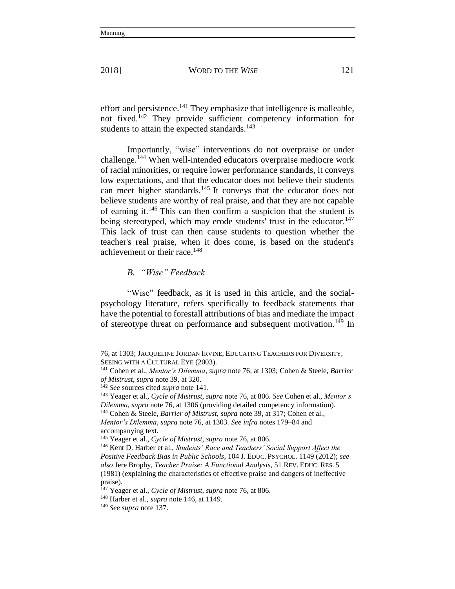effort and persistence.<sup>141</sup> They emphasize that intelligence is malleable, not fixed.<sup>142</sup> They provide sufficient competency information for students to attain the expected standards.<sup>143</sup>

Importantly, "wise" interventions do not overpraise or under challenge.<sup>144</sup> When well-intended educators overpraise mediocre work of racial minorities, or require lower performance standards, it conveys low expectations, and that the educator does not believe their students can meet higher standards.<sup>145</sup> It conveys that the educator does not believe students are worthy of real praise, and that they are not capable of earning it.<sup>146</sup> This can then confirm a suspicion that the student is being stereotyped, which may erode students' trust in the educator.<sup>147</sup> This lack of trust can then cause students to question whether the teacher's real praise, when it does come, is based on the student's achievement or their race.<sup>148</sup>

### *B. "Wise" Feedback*

"Wise" feedback, as it is used in this article, and the socialpsychology literature, refers specifically to feedback statements that have the potential to forestall attributions of bias and mediate the impact of stereotype threat on performance and subsequent motivation.<sup>149</sup> In

 $\overline{a}$ 

<sup>144</sup> Cohen & Steele, *Barrier of Mistrust*, *supra* note 39, at 317; Cohen et al., *Mentor's Dilemma*, *supra* note 76, at 1303. *See infra* notes 179–84 and accompanying text.

<sup>76,</sup> at 1303; JACQUELINE JORDAN IRVINE, EDUCATING TEACHERS FOR DIVERSITY, SEEING WITH A CULTURAL EYE (2003).

<sup>141</sup> Cohen et al., *Mentor's Dilemma*, *supra* note 76, at 1303; Cohen & Steele, *Barrier of Mistrust*, *supra* note 39, at 320.

<sup>142</sup> *See* sources cited *supra* note 141.

<sup>143</sup> Yeager et al., *Cycle of Mistrust*, *supra* note 76, at 806. *See* Cohen et al., *Mentor's Dilemma*, *supra* note 76, at 1306 (providing detailed competency information).

<sup>145</sup> Yeager et al., *Cycle of Mistrust*, *supra* note 76, at 806.

<sup>146</sup> Kent D. Harber et al., *Students' Race and Teachers' Social Support Affect the Positive Feedback Bias in Public Schools*, 104 J. EDUC. PSYCHOL. 1149 (2012); *see also* Jere Brophy, *Teacher Praise: A Functional Analysis*, 51 REV. EDUC. RES. 5 (1981) (explaining the characteristics of effective praise and dangers of ineffective praise).

<sup>147</sup> Yeager et al., *Cycle of Mistrust*, *supra* note 76, at 806.

<sup>148</sup> Harber et al., *supra* note 146, at 1149.

<sup>149</sup> *See supra* note 137.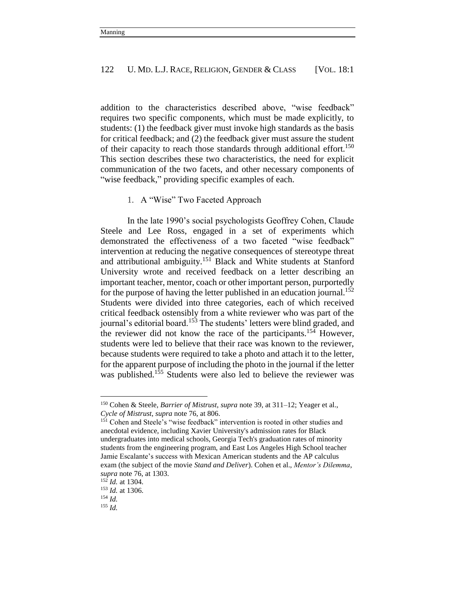addition to the characteristics described above, "wise feedback" requires two specific components, which must be made explicitly, to students: (1) the feedback giver must invoke high standards as the basis for critical feedback; and (2) the feedback giver must assure the student of their capacity to reach those standards through additional effort.<sup>150</sup> This section describes these two characteristics, the need for explicit communication of the two facets, and other necessary components of "wise feedback," providing specific examples of each.

# 1. A "Wise" Two Faceted Approach

In the late 1990's social psychologists Geoffrey Cohen, Claude Steele and Lee Ross, engaged in a set of experiments which demonstrated the effectiveness of a two faceted "wise feedback" intervention at reducing the negative consequences of stereotype threat and attributional ambiguity.<sup>151</sup> Black and White students at Stanford University wrote and received feedback on a letter describing an important teacher, mentor, coach or other important person, purportedly for the purpose of having the letter published in an education journal.<sup>152</sup> Students were divided into three categories, each of which received critical feedback ostensibly from a white reviewer who was part of the journal's editorial board.<sup>153</sup> The students' letters were blind graded, and the reviewer did not know the race of the participants.<sup>154</sup> However, students were led to believe that their race was known to the reviewer, because students were required to take a photo and attach it to the letter, for the apparent purpose of including the photo in the journal if the letter was published.<sup>155</sup> Students were also led to believe the reviewer was

<sup>150</sup> Cohen & Steele, *Barrier of Mistrust*, *supra* note 39, at 311–12; Yeager et al., *Cycle of Mistrust*, *supra* note 76, at 806.

<sup>151</sup> Cohen and Steele's "wise feedback" intervention is rooted in other studies and anecdotal evidence, including Xavier University's admission rates for Black undergraduates into medical schools, Georgia Tech's graduation rates of minority students from the engineering program, and East Los Angeles High School teacher Jamie Escalante's success with Mexican American students and the AP calculus exam (the subject of the movie *Stand and Deliver*). Cohen et al., *Mentor's Dilemma*, *supra* note 76, at 1303.

<sup>152</sup> *Id.* at 1304.

<sup>153</sup> *Id.* at 1306.

<sup>154</sup> *Id.*

<sup>155</sup> *Id.*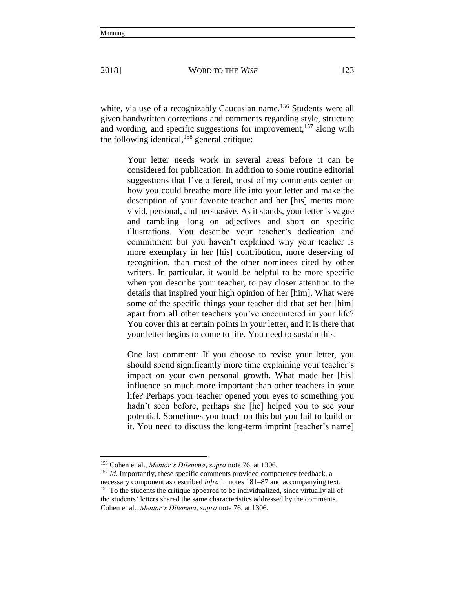$\overline{a}$ 

2018] WORD TO THE *WISE* 123

white, via use of a recognizably Caucasian name.<sup>156</sup> Students were all given handwritten corrections and comments regarding style, structure and wording, and specific suggestions for improvement,  $157$  along with the following identical,  $158$  general critique:

> Your letter needs work in several areas before it can be considered for publication. In addition to some routine editorial suggestions that I've offered, most of my comments center on how you could breathe more life into your letter and make the description of your favorite teacher and her [his] merits more vivid, personal, and persuasive. As it stands, your letter is vague and rambling—long on adjectives and short on specific illustrations. You describe your teacher's dedication and commitment but you haven't explained why your teacher is more exemplary in her [his] contribution, more deserving of recognition, than most of the other nominees cited by other writers. In particular, it would be helpful to be more specific when you describe your teacher, to pay closer attention to the details that inspired your high opinion of her [him]. What were some of the specific things your teacher did that set her [him] apart from all other teachers you've encountered in your life? You cover this at certain points in your letter, and it is there that your letter begins to come to life. You need to sustain this.

> One last comment: If you choose to revise your letter, you should spend significantly more time explaining your teacher's impact on your own personal growth. What made her [his] influence so much more important than other teachers in your life? Perhaps your teacher opened your eyes to something you hadn't seen before, perhaps she [he] helped you to see your potential. Sometimes you touch on this but you fail to build on it. You need to discuss the long-term imprint [teacher's name]

<sup>156</sup> Cohen et al., *Mentor's Dilemma*, *supra* note 76, at 1306.

<sup>&</sup>lt;sup>157</sup> *Id*. Importantly, these specific comments provided competency feedback, a necessary component as described *infra* in notes 181–87 and accompanying text. <sup>158</sup> To the students the critique appeared to be individualized, since virtually all of the students' letters shared the same characteristics addressed by the comments. Cohen et al., *Mentor's Dilemma*, *supra* note 76, at 1306.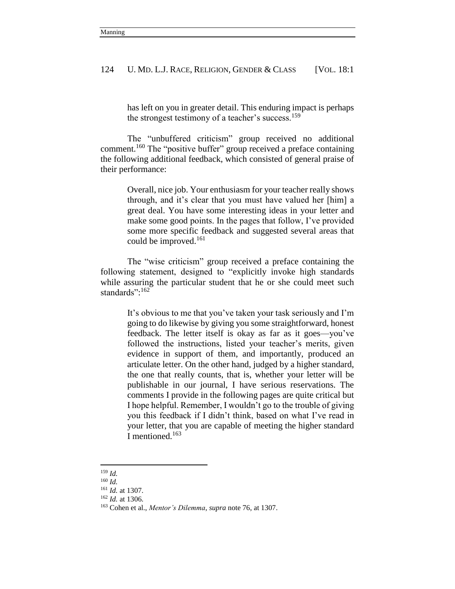has left on you in greater detail. This enduring impact is perhaps the strongest testimony of a teacher's success.<sup>159</sup>

The "unbuffered criticism" group received no additional comment.<sup>160</sup> The "positive buffer" group received a preface containing the following additional feedback, which consisted of general praise of their performance:

> Overall, nice job. Your enthusiasm for your teacher really shows through, and it's clear that you must have valued her [him] a great deal. You have some interesting ideas in your letter and make some good points. In the pages that follow, I've provided some more specific feedback and suggested several areas that could be improved.<sup>161</sup>

The "wise criticism" group received a preface containing the following statement, designed to "explicitly invoke high standards while assuring the particular student that he or she could meet such standards": 162

> It's obvious to me that you've taken your task seriously and I'm going to do likewise by giving you some straightforward, honest feedback. The letter itself is okay as far as it goes—you've followed the instructions, listed your teacher's merits, given evidence in support of them, and importantly, produced an articulate letter. On the other hand, judged by a higher standard, the one that really counts, that is, whether your letter will be publishable in our journal, I have serious reservations. The comments I provide in the following pages are quite critical but I hope helpful. Remember, I wouldn't go to the trouble of giving you this feedback if I didn't think, based on what I've read in your letter, that you are capable of meeting the higher standard I mentioned.<sup>163</sup>

 $\overline{a}$ <sup>159</sup> *Id.*

<sup>160</sup> *Id.*

<sup>161</sup> *Id.* at 1307.

<sup>162</sup> *Id.* at 1306.

<sup>163</sup> Cohen et al., *Mentor's Dilemma*, *supra* note 76, at 1307.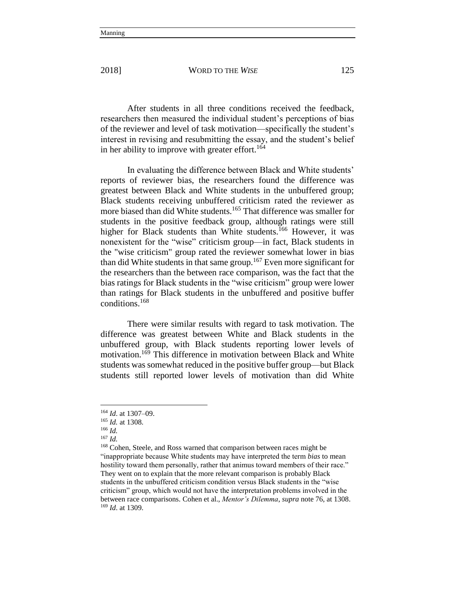After students in all three conditions received the feedback, researchers then measured the individual student's perceptions of bias of the reviewer and level of task motivation—specifically the student's interest in revising and resubmitting the essay, and the student's belief in her ability to improve with greater effort.<sup>164</sup>

In evaluating the difference between Black and White students' reports of reviewer bias, the researchers found the difference was greatest between Black and White students in the unbuffered group; Black students receiving unbuffered criticism rated the reviewer as more biased than did White students.<sup>165</sup> That difference was smaller for students in the positive feedback group, although ratings were still higher for Black students than White students.<sup>166</sup> However, it was nonexistent for the "wise" criticism group—in fact, Black students in the "wise criticism" group rated the reviewer somewhat lower in bias than did White students in that same group.<sup>167</sup> Even more significant for the researchers than the between race comparison, was the fact that the bias ratings for Black students in the "wise criticism" group were lower than ratings for Black students in the unbuffered and positive buffer conditions.<sup>168</sup>

There were similar results with regard to task motivation. The difference was greatest between White and Black students in the unbuffered group, with Black students reporting lower levels of motivation.<sup>169</sup> This difference in motivation between Black and White students was somewhat reduced in the positive buffer group—but Black students still reported lower levels of motivation than did White

<sup>164</sup> *Id*. at 1307–09.

<sup>165</sup> *Id.* at 1308.

<sup>166</sup> *Id.*

<sup>167</sup> *Id.*

<sup>&</sup>lt;sup>168</sup> Cohen, Steele, and Ross warned that comparison between races might be "inappropriate because White students may have interpreted the term *bias* to mean hostility toward them personally, rather that animus toward members of their race." They went on to explain that the more relevant comparison is probably Black students in the unbuffered criticism condition versus Black students in the "wise criticism" group, which would not have the interpretation problems involved in the between race comparisons. Cohen et al., *Mentor's Dilemma*, *supra* note 76, at 1308. <sup>169</sup> *Id*. at 1309.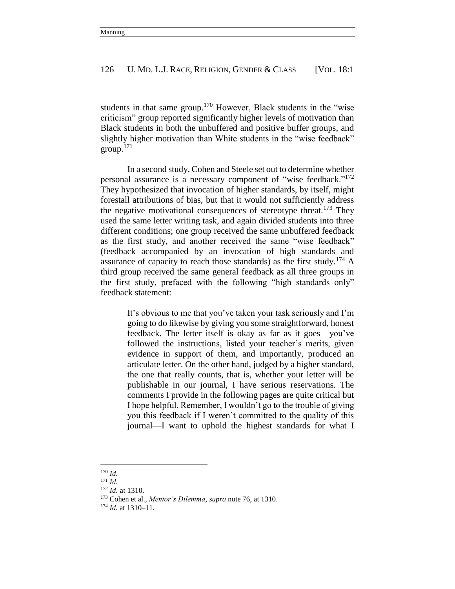students in that same group.<sup>170</sup> However, Black students in the "wise criticism" group reported significantly higher levels of motivation than Black students in both the unbuffered and positive buffer groups, and slightly higher motivation than White students in the "wise feedback" group. $171$ 

In a second study, Cohen and Steele set out to determine whether personal assurance is a necessary component of "wise feedback."<sup>172</sup> They hypothesized that invocation of higher standards, by itself, might forestall attributions of bias, but that it would not sufficiently address the negative motivational consequences of stereotype threat.<sup>173</sup> They used the same letter writing task, and again divided students into three different conditions; one group received the same unbuffered feedback as the first study, and another received the same "wise feedback" (feedback accompanied by an invocation of high standards and assurance of capacity to reach those standards) as the first study.<sup>174</sup> A third group received the same general feedback as all three groups in the first study, prefaced with the following "high standards only" feedback statement:

> It's obvious to me that you've taken your task seriously and I'm going to do likewise by giving you some straightforward, honest feedback. The letter itself is okay as far as it goes—you've followed the instructions, listed your teacher's merits, given evidence in support of them, and importantly, produced an articulate letter. On the other hand, judged by a higher standard, the one that really counts, that is, whether your letter will be publishable in our journal, I have serious reservations. The comments I provide in the following pages are quite critical but I hope helpful. Remember, I wouldn't go to the trouble of giving you this feedback if I weren't committed to the quality of this journal—I want to uphold the highest standards for what I

 $\overline{a}$ <sup>170</sup> *Id.*

<sup>171</sup> *Id.*

<sup>172</sup> *Id.* at 1310.

<sup>173</sup> Cohen et al., *Mentor's Dilemma*, *supra* note 76, at 1310.

<sup>174</sup> *Id*. at 1310–11.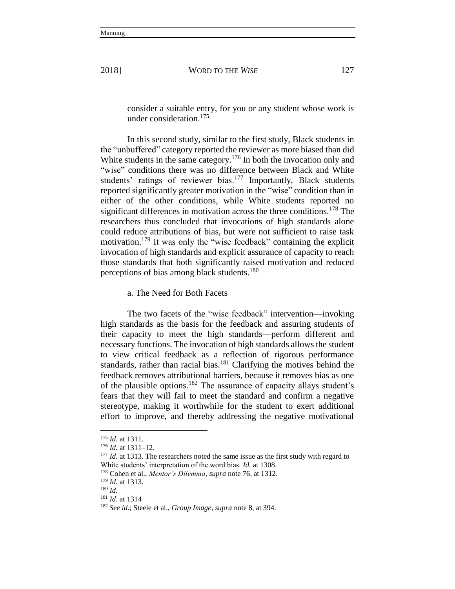consider a suitable entry, for you or any student whose work is under consideration. $175$ 

In this second study, similar to the first study, Black students in the "unbuffered" category reported the reviewer as more biased than did White students in the same category.<sup>176</sup> In both the invocation only and "wise" conditions there was no difference between Black and White students' ratings of reviewer bias.<sup>177</sup> Importantly, Black students reported significantly greater motivation in the "wise" condition than in either of the other conditions, while White students reported no significant differences in motivation across the three conditions.<sup>178</sup> The researchers thus concluded that invocations of high standards alone could reduce attributions of bias, but were not sufficient to raise task motivation.<sup>179</sup> It was only the "wise feedback" containing the explicit invocation of high standards and explicit assurance of capacity to reach those standards that both significantly raised motivation and reduced perceptions of bias among black students.<sup>180</sup>

a. The Need for Both Facets

The two facets of the "wise feedback" intervention—invoking high standards as the basis for the feedback and assuring students of their capacity to meet the high standards—perform different and necessary functions. The invocation of high standards allows the student to view critical feedback as a reflection of rigorous performance standards, rather than racial bias.<sup>181</sup> Clarifying the motives behind the feedback removes attributional barriers, because it removes bias as one of the plausible options.<sup>182</sup> The assurance of capacity allays student's fears that they will fail to meet the standard and confirm a negative stereotype, making it worthwhile for the student to exert additional effort to improve, and thereby addressing the negative motivational

<sup>175</sup> *Id.* at 1311.

<sup>176</sup> *Id.* at 1311–12.

<sup>&</sup>lt;sup>177</sup> *Id.* at 1313. The researchers noted the same issue as the first study with regard to White students' interpretation of the word bias. *Id.* at 1308.

<sup>178</sup> Cohen et al., *Mentor's Dilemma*, *supra* note 76, at 1312.

<sup>179</sup> *Id.* at 1313.

<sup>180</sup> *Id.*

<sup>181</sup> *Id*. at 1314

<sup>182</sup> *See id.*; Steele et al., *Group Image*, *supra* note 8, at 394.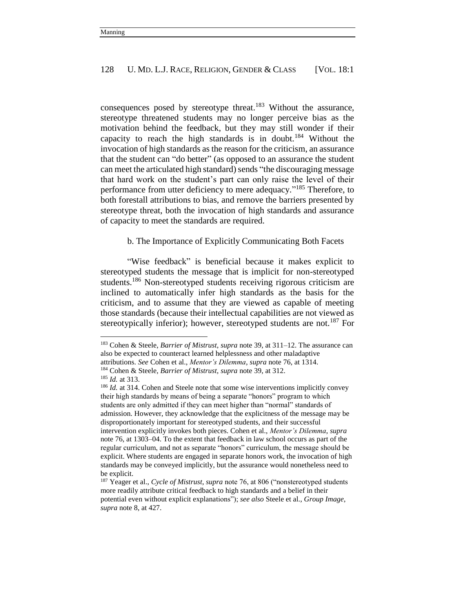consequences posed by stereotype threat.<sup>183</sup> Without the assurance, stereotype threatened students may no longer perceive bias as the motivation behind the feedback, but they may still wonder if their capacity to reach the high standards is in doubt.<sup>184</sup> Without the invocation of high standards as the reason for the criticism, an assurance that the student can "do better" (as opposed to an assurance the student can meet the articulated high standard) sends "the discouraging message that hard work on the student's part can only raise the level of their performance from utter deficiency to mere adequacy."<sup>185</sup> Therefore, to both forestall attributions to bias, and remove the barriers presented by stereotype threat, both the invocation of high standards and assurance of capacity to meet the standards are required.

## b. The Importance of Explicitly Communicating Both Facets

"Wise feedback" is beneficial because it makes explicit to stereotyped students the message that is implicit for non-stereotyped students.<sup>186</sup> Non-stereotyped students receiving rigorous criticism are inclined to automatically infer high standards as the basis for the criticism, and to assume that they are viewed as capable of meeting those standards (because their intellectual capabilities are not viewed as stereotypically inferior); however, stereotyped students are not.<sup>187</sup> For

<sup>183</sup> Cohen & Steele, *Barrier of Mistrust*, *supra* note 39, at 311–12. The assurance can also be expected to counteract learned helplessness and other maladaptive attributions. *See* Cohen et al., *Mentor's Dilemma*, *supra* note 76, at 1314. <sup>184</sup> Cohen & Steele, *Barrier of Mistrust*, *supra* note 39, at 312.

<sup>185</sup> *Id.* at 313.

<sup>&</sup>lt;sup>186</sup> *Id.* at 314. Cohen and Steele note that some wise interventions implicitly convey their high standards by means of being a separate "honors" program to which students are only admitted if they can meet higher than "normal" standards of admission. However, they acknowledge that the explicitness of the message may be disproportionately important for stereotyped students, and their successful intervention explicitly invokes both pieces. Cohen et al., *Mentor's Dilemma*, *supra* note 76, at 1303–04. To the extent that feedback in law school occurs as part of the regular curriculum, and not as separate "honors" curriculum, the message should be explicit. Where students are engaged in separate honors work, the invocation of high standards may be conveyed implicitly, but the assurance would nonetheless need to be explicit.

<sup>187</sup> Yeager et al., *Cycle of Mistrust*, *supra* note 76, at 806 ("nonstereotyped students more readily attribute critical feedback to high standards and a belief in their potential even without explicit explanations"); *see also* Steele et al., *Group Image*, *supra* note 8, at 427.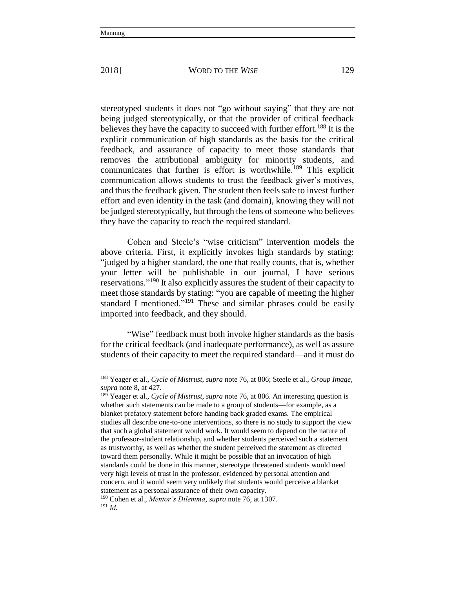stereotyped students it does not "go without saying" that they are not being judged stereotypically, or that the provider of critical feedback believes they have the capacity to succeed with further effort.<sup>188</sup> It is the explicit communication of high standards as the basis for the critical feedback, and assurance of capacity to meet those standards that removes the attributional ambiguity for minority students, and communicates that further is effort is worthwhile.<sup>189</sup> This explicit communication allows students to trust the feedback giver's motives, and thus the feedback given. The student then feels safe to invest further effort and even identity in the task (and domain), knowing they will not be judged stereotypically, but through the lens of someone who believes they have the capacity to reach the required standard.

Cohen and Steele's "wise criticism" intervention models the above criteria. First, it explicitly invokes high standards by stating: "judged by a higher standard, the one that really counts, that is, whether your letter will be publishable in our journal, I have serious reservations."<sup>190</sup> It also explicitly assures the student of their capacity to meet those standards by stating: "you are capable of meeting the higher standard I mentioned."<sup>191</sup> These and similar phrases could be easily imported into feedback, and they should.

"Wise" feedback must both invoke higher standards as the basis for the critical feedback (and inadequate performance), as well as assure students of their capacity to meet the required standard—and it must do

<sup>188</sup> Yeager et al., *Cycle of Mistrust*, *supra* note 76, at 806; Steele et al., *Group Image*, *supra* note 8, at 427.

<sup>&</sup>lt;sup>189</sup> Yeager et al., *Cycle of Mistrust*, *supra* note 76, at 806. An interesting question is whether such statements can be made to a group of students—for example, as a blanket prefatory statement before handing back graded exams. The empirical studies all describe one-to-one interventions, so there is no study to support the view that such a global statement would work. It would seem to depend on the nature of the professor-student relationship, and whether students perceived such a statement as trustworthy, as well as whether the student perceived the statement as directed toward them personally. While it might be possible that an invocation of high standards could be done in this manner, stereotype threatened students would need very high levels of trust in the professor, evidenced by personal attention and concern, and it would seem very unlikely that students would perceive a blanket statement as a personal assurance of their own capacity. <sup>190</sup> Cohen et al., *Mentor's Dilemma*, *supra* note 76, at 1307.

<sup>191</sup> *Id.*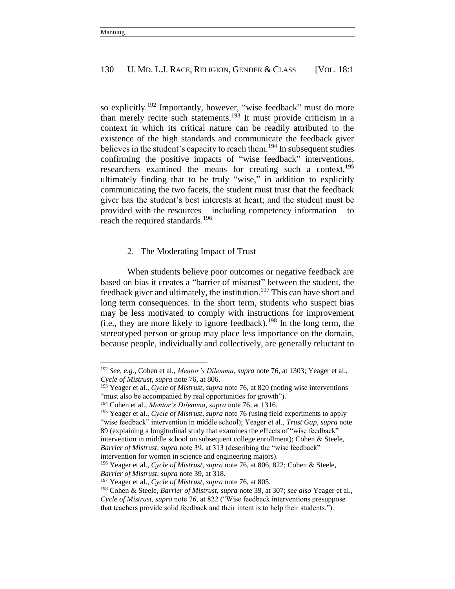$\overline{a}$ 

# 130 U. MD. L.J. RACE, RELIGION, GENDER & CLASS [VOL. 18:1]

so explicitly.<sup>192</sup> Importantly, however, "wise feedback" must do more than merely recite such statements.<sup>193</sup> It must provide criticism in a context in which its critical nature can be readily attributed to the existence of the high standards and communicate the feedback giver believes in the student's capacity to reach them.<sup>194</sup> In subsequent studies confirming the positive impacts of "wise feedback" interventions, researchers examined the means for creating such a context, $195$ ultimately finding that to be truly "wise," in addition to explicitly communicating the two facets, the student must trust that the feedback giver has the student's best interests at heart; and the student must be provided with the resources – including competency information – to reach the required standards.<sup>196</sup>

### 2. The Moderating Impact of Trust

When students believe poor outcomes or negative feedback are based on bias it creates a "barrier of mistrust" between the student, the feedback giver and ultimately, the institution.<sup>197</sup> This can have short and long term consequences. In the short term, students who suspect bias may be less motivated to comply with instructions for improvement (i.e., they are more likely to ignore feedback).<sup>198</sup> In the long term, the stereotyped person or group may place less importance on the domain, because people, individually and collectively, are generally reluctant to

<sup>192</sup> *See, e.g.*, Cohen et al., *Mentor's Dilemma*, *supra* note 76, at 1303; Yeager et al., *Cycle of Mistrust*, *supra* note 76, at 806.

<sup>193</sup> Yeager et al., *Cycle of Mistrust*, *supra* note 76, at 820 (noting wise interventions "must also be accompanied by real opportunities for growth").

<sup>194</sup> Cohen et al., *Mentor's Dilemma*, *supra* note 76, at 1316.

<sup>195</sup> Yeager et al., *Cycle of Mistrust*, *supra* note 76 (using field experiments to apply "wise feedback" intervention in middle school); Yeager et al., *Trust Gap*, *supra* note 89 (explaining a longitudinal study that examines the effects of "wise feedback" intervention in middle school on subsequent college enrollment); Cohen & Steele, *Barrier of Mistrust*, *supra* note 39, at 313 (describing the "wise feedback" intervention for women in science and engineering majors).

<sup>196</sup> Yeager et al., *Cycle of Mistrust*, *supra* note 76, at 806, 822; Cohen & Steele, *Barrier of Mistrust*, *supra* note 39, at 318.

<sup>197</sup> Yeager et al., *Cycle of Mistrust*, *supra* note 76, at 805.

<sup>198</sup> Cohen & Steele, *Barrier of Mistrust*, *supra* note 39, at 307; *see also* Yeager et al., *Cycle of Mistrust*, *supra* note 76, at 822 ("Wise feedback interventions presuppose that teachers provide solid feedback and their intent is to help their students.").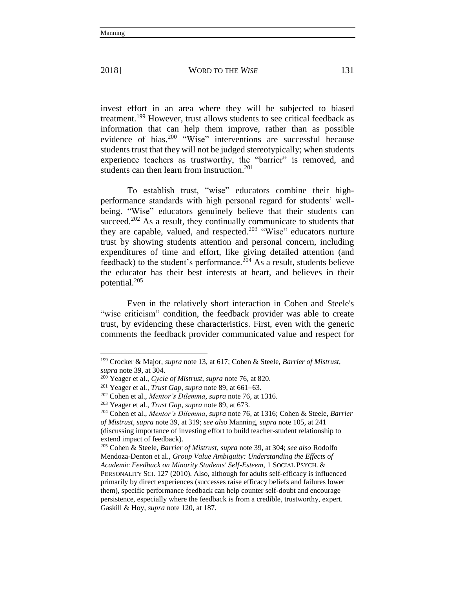$\overline{a}$ 

2018] WORD TO THE *WISE* 131

invest effort in an area where they will be subjected to biased treatment.<sup>199</sup> However, trust allows students to see critical feedback as information that can help them improve, rather than as possible evidence of bias.<sup>200</sup> "Wise" interventions are successful because students trust that they will not be judged stereotypically; when students experience teachers as trustworthy, the "barrier" is removed, and students can then learn from instruction.<sup>201</sup>

To establish trust, "wise" educators combine their highperformance standards with high personal regard for students' wellbeing. "Wise" educators genuinely believe that their students can succeed.<sup>202</sup> As a result, they continually communicate to students that they are capable, valued, and respected.<sup>203</sup> "Wise" educators nurture trust by showing students attention and personal concern, including expenditures of time and effort, like giving detailed attention (and feedback) to the student's performance.<sup> $204$ </sup> As a result, students believe the educator has their best interests at heart, and believes in their potential.<sup>205</sup>

Even in the relatively short interaction in Cohen and Steele's "wise criticism" condition, the feedback provider was able to create trust, by evidencing these characteristics. First, even with the generic comments the feedback provider communicated value and respect for

<sup>199</sup> Crocker & Major, *supra* note 13, at 617; Cohen & Steele, *Barrier of Mistrust*, *supra* note 39, at 304.

<sup>200</sup> Yeager et al., *Cycle of Mistrust*, *supra* note 76, at 820.

<sup>&</sup>lt;sup>201</sup> Yeager et al., *Trust Gap*, *supra* note 89, at 661–63.

<sup>202</sup> Cohen et al., *Mentor's Dilemma*, *supra* note 76, at 1316.

<sup>203</sup> Yeager et al*.*, *Trust Gap*, *supra* note 89, at 673.

<sup>204</sup> Cohen et al., *Mentor's Dilemma*, *supra* note 76, at 1316; Cohen & Steele, *Barrier of Mistrust*, *supra* note 39, at 319; *see also* Manning, *supra* note 105, at 241 (discussing importance of investing effort to build teacher-student relationship to extend impact of feedback).

<sup>205</sup> Cohen & Steele*, Barrier of Mistrust*, *supra* note 39, at 304; *see also* Rodolfo Mendoza-Denton et al., *Group Value Ambiguity: Understanding the Effects of Academic Feedback on Minority Students' Self-Esteem*, 1 SOCIAL PSYCH. & PERSONALITY SCI. 127 (2010). Also, although for adults self-efficacy is influenced primarily by direct experiences (successes raise efficacy beliefs and failures lower them), specific performance feedback can help counter self-doubt and encourage persistence, especially where the feedback is from a credible, trustworthy, expert. Gaskill & Hoy, *supra* note 120, at 187.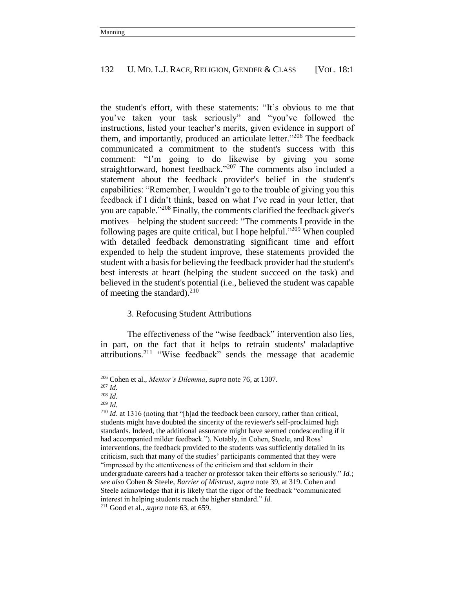the student's effort, with these statements: "It's obvious to me that you've taken your task seriously" and "you've followed the instructions, listed your teacher's merits, given evidence in support of them, and importantly, produced an articulate letter."<sup>206</sup> The feedback communicated a commitment to the student's success with this comment: "I'm going to do likewise by giving you some straightforward, honest feedback."<sup>207</sup> The comments also included a statement about the feedback provider's belief in the student's capabilities: "Remember, I wouldn't go to the trouble of giving you this feedback if I didn't think, based on what I've read in your letter, that you are capable."<sup>208</sup> Finally, the comments clarified the feedback giver's motives—helping the student succeed: "The comments I provide in the following pages are quite critical, but I hope helpful."<sup>209</sup> When coupled with detailed feedback demonstrating significant time and effort expended to help the student improve, these statements provided the student with a basis for believing the feedback provider had the student's best interests at heart (helping the student succeed on the task) and believed in the student's potential (i.e., believed the student was capable of meeting the standard). $^{210}$ 

#### 3. Refocusing Student Attributions

The effectiveness of the "wise feedback" intervention also lies, in part, on the fact that it helps to retrain students' maladaptive attributions.<sup>211</sup> "Wise feedback" sends the message that academic

<sup>206</sup> Cohen et al., *Mentor's Dilemma*, *supra* note 76, at 1307.

<sup>207</sup> *Id.*

<sup>208</sup> *Id.*

<sup>209</sup> *Id.*

<sup>210</sup> *Id*. at 1316 (noting that "[h]ad the feedback been cursory, rather than critical, students might have doubted the sincerity of the reviewer's self-proclaimed high standards. Indeed, the additional assurance might have seemed condescending if it had accompanied milder feedback."). Notably, in Cohen, Steele, and Ross' interventions, the feedback provided to the students was sufficiently detailed in its criticism, such that many of the studies' participants commented that they were "impressed by the attentiveness of the criticism and that seldom in their undergraduate careers had a teacher or professor taken their efforts so seriously." *Id.*; *see also* Cohen & Steele, *Barrier of Mistrust*, *supra* note 39, at 319. Cohen and Steele acknowledge that it is likely that the rigor of the feedback "communicated interest in helping students reach the higher standard." *Id.*

<sup>211</sup> Good et al*.*, *supra* note 63, at 659.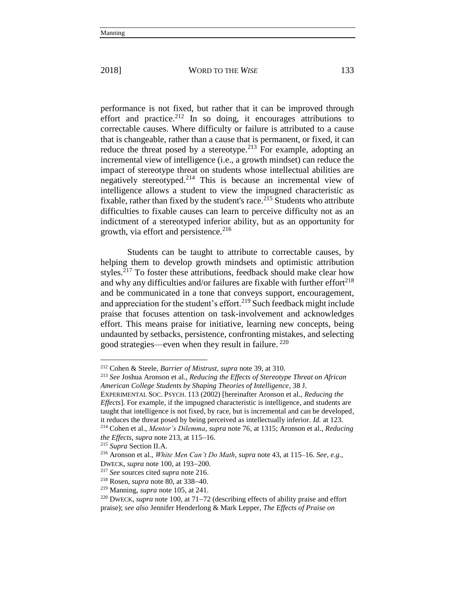performance is not fixed, but rather that it can be improved through effort and practice.<sup>212</sup> In so doing, it encourages attributions to correctable causes. Where difficulty or failure is attributed to a cause that is changeable, rather than a cause that is permanent, or fixed, it can reduce the threat posed by a stereotype.<sup>213</sup> For example, adopting an incremental view of intelligence (i.e., a growth mindset) can reduce the impact of stereotype threat on students whose intellectual abilities are negatively stereotyped.<sup>214</sup> This is because an incremental view of intelligence allows a student to view the impugned characteristic as fixable, rather than fixed by the student's race.<sup>215</sup> Students who attribute difficulties to fixable causes can learn to perceive difficulty not as an indictment of a stereotyped inferior ability, but as an opportunity for growth, via effort and persistence.<sup>216</sup>

Students can be taught to attribute to correctable causes, by helping them to develop growth mindsets and optimistic attribution styles.<sup>217</sup> To foster these attributions, feedback should make clear how and why any difficulties and/or failures are fixable with further effort $^{218}$ and be communicated in a tone that conveys support, encouragement, and appreciation for the student's effort. $2^{19}$  Such feedback might include praise that focuses attention on task-involvement and acknowledges effort. This means praise for initiative, learning new concepts, being undaunted by setbacks, persistence, confronting mistakes, and selecting good strategies—even when they result in failure. <sup>220</sup>

<sup>212</sup> Cohen & Steele, *Barrier of Mistrust*, *supra* note 39, at 310.

<sup>213</sup> *See* Joshua Aronson et al., *Reducing the Effects of Stereotype Threat on African American College Students by Shaping Theories of Intelligence*, 38 J.

EXPERIMENTAL SOC. PSYCH. 113 (2002) [hereinafter Aronson et al., *Reducing the Effects*]. For example, if the impugned characteristic is intelligence, and students are taught that intelligence is not fixed, by race, but is incremental and can be developed, it reduces the threat posed by being perceived as intellectually inferior. *Id.* at 123.

<sup>214</sup> Cohen et al., *Mentor's Dilemma*, *supra* note 76, at 1315; Aronson et al., *Reducing the Effects, supra note 213, at 115-16.* 

<sup>215</sup> *Supra* Section II.A.

<sup>216</sup> Aronson et al., *White Men Can't Do Math*, *supra* note 43, at 115–16. *See, e.g.*,

DWECK, *supra* note 100, at 193-200.

<sup>217</sup> *See* sources cited *supra* note 216.

<sup>&</sup>lt;sup>218</sup> Rosen, *supra* note 80, at 338–40.

<sup>219</sup> Manning, *supra* note 105, at 241.

 $220$  DWECK, *supra* note 100, at 71–72 (describing effects of ability praise and effort praise); *see also* Jennifer Henderlong & Mark Lepper, *The Effects of Praise on*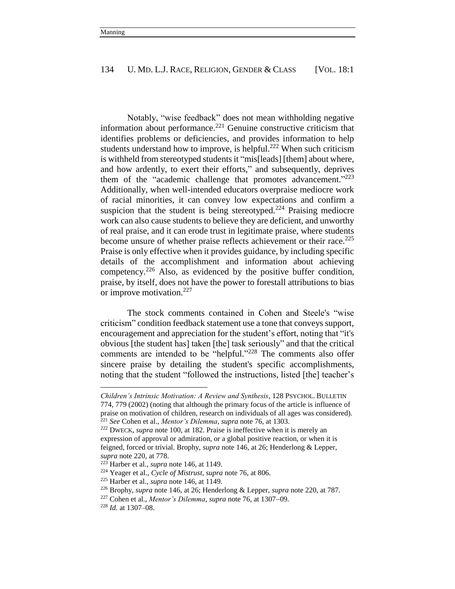Notably, "wise feedback" does not mean withholding negative information about performance. $^{221}$  Genuine constructive criticism that identifies problems or deficiencies, and provides information to help students understand how to improve, is helpful.<sup>222</sup> When such criticism is withheld from stereotyped students it "mis[leads] [them] about where, and how ardently, to exert their efforts," and subsequently, deprives them of the "academic challenge that promotes advancement."223 Additionally, when well-intended educators overpraise mediocre work of racial minorities, it can convey low expectations and confirm a suspicion that the student is being stereotyped.<sup>224</sup> Praising mediocre work can also cause students to believe they are deficient, and unworthy of real praise, and it can erode trust in legitimate praise, where students become unsure of whether praise reflects achievement or their race.<sup>225</sup> Praise is only effective when it provides guidance, by including specific details of the accomplishment and information about achieving competency.<sup>226</sup> Also, as evidenced by the positive buffer condition, praise, by itself, does not have the power to forestall attributions to bias or improve motivation.<sup>227</sup>

The stock comments contained in Cohen and Steele's "wise criticism" condition feedback statement use a tone that conveys support, encouragement and appreciation for the student's effort, noting that "it's obvious [the student has] taken [the] task seriously" and that the critical comments are intended to be "helpful."<sup>228</sup> The comments also offer sincere praise by detailing the student's specific accomplishments, noting that the student "followed the instructions, listed [the] teacher's

*Children's Intrinsic Motivation: A Review and Synthesis*, 128 PSYCHOL. BULLETIN 774, 779 (2002) (noting that although the primary focus of the article is influence of praise on motivation of children, research on individuals of all ages was considered). <sup>221</sup> *See* Cohen et al., *Mentor's Dilemma*, *supra* note 76, at 1303.

<sup>222</sup> DWECK, *supra* note 100, at 182. Praise is ineffective when it is merely an expression of approval or admiration, or a global positive reaction, or when it is feigned, forced or trivial. Brophy, *supra* note 146, at 26; Henderlong & Lepper, *supra* note 220, at 778.

<sup>223</sup> Harber et al., *supra* note 146, at 1149.

<sup>224</sup> Yeager et al., *Cycle of Mistrust*, *supra* note 76, at 806.

<sup>225</sup> Harber et al., *supra* note 146, at 1149.

<sup>226</sup> Brophy, *supra* note 146, at 26; Henderlong & Lepper, *supra* note 220, at 787.

<sup>&</sup>lt;sup>227</sup> Cohen et al., *Mentor's Dilemma*, *supra* note 76, at 1307–09.

<sup>228</sup> *Id.* at 1307–08.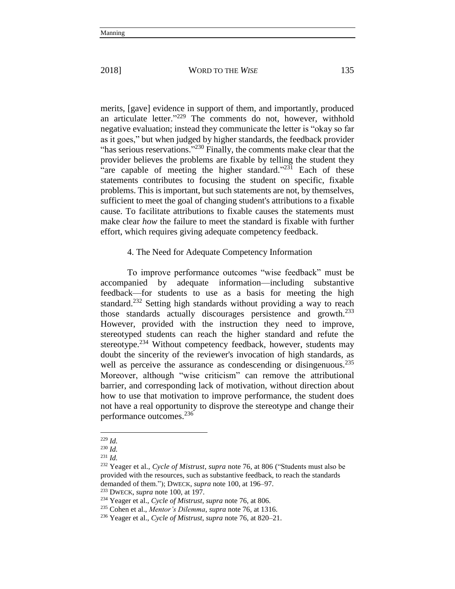merits, [gave] evidence in support of them, and importantly, produced an articulate letter."<sup>229</sup> The comments do not, however, withhold negative evaluation; instead they communicate the letter is "okay so far as it goes," but when judged by higher standards, the feedback provider "has serious reservations."<sup>230</sup> Finally, the comments make clear that the provider believes the problems are fixable by telling the student they "are capable of meeting the higher standard."<sup>231</sup> Each of these statements contributes to focusing the student on specific, fixable problems. This is important, but such statements are not, by themselves, sufficient to meet the goal of changing student's attributions to a fixable cause. To facilitate attributions to fixable causes the statements must make clear *how* the failure to meet the standard is fixable with further effort, which requires giving adequate competency feedback.

# 4. The Need for Adequate Competency Information

To improve performance outcomes "wise feedback" must be accompanied by adequate information—including substantive feedback—for students to use as a basis for meeting the high standard.<sup>232</sup> Setting high standards without providing a way to reach those standards actually discourages persistence and growth.<sup>233</sup> However, provided with the instruction they need to improve, stereotyped students can reach the higher standard and refute the stereotype.<sup>234</sup> Without competency feedback, however, students may doubt the sincerity of the reviewer's invocation of high standards, as well as perceive the assurance as condescending or disingenuous.<sup>235</sup> Moreover, although "wise criticism" can remove the attributional barrier, and corresponding lack of motivation, without direction about how to use that motivation to improve performance, the student does not have a real opportunity to disprove the stereotype and change their performance outcomes.<sup>236</sup>

 $\overline{a}$ <sup>229</sup> *Id.*

<sup>230</sup> *Id.*

<sup>231</sup> *Id.*

<sup>232</sup> Yeager et al., *Cycle of Mistrust*, *supra* note 76, at 806 ("Students must also be provided with the resources, such as substantive feedback, to reach the standards demanded of them."); DWECK, *supra* note 100, at 196–97.

<sup>233</sup> DWECK, *supra* note 100, at 197.

<sup>234</sup> Yeager et al., *Cycle of Mistrust*, *supra* note 76, at 806.

<sup>235</sup> Cohen et al., *Mentor's Dilemma*, *supra* note 76, at 1316.

<sup>236</sup> Yeager et al., *Cycle of Mistrust*, *supra* note 76, at 820–21.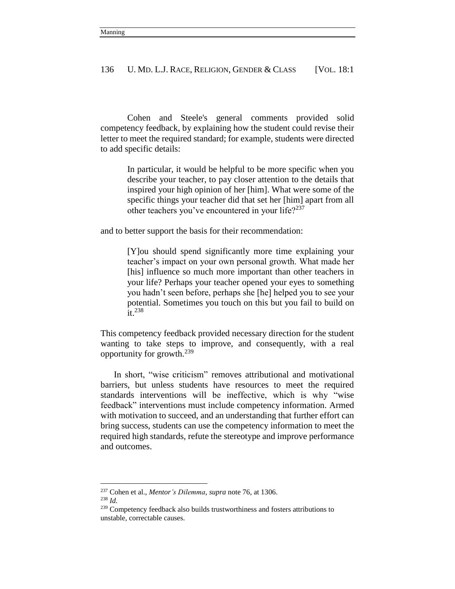Cohen and Steele's general comments provided solid competency feedback, by explaining how the student could revise their letter to meet the required standard; for example, students were directed to add specific details:

> In particular, it would be helpful to be more specific when you describe your teacher, to pay closer attention to the details that inspired your high opinion of her [him]. What were some of the specific things your teacher did that set her [him] apart from all other teachers you've encountered in your life? $237$

and to better support the basis for their recommendation:

[Y]ou should spend significantly more time explaining your teacher's impact on your own personal growth. What made her [his] influence so much more important than other teachers in your life? Perhaps your teacher opened your eyes to something you hadn't seen before, perhaps she [he] helped you to see your potential. Sometimes you touch on this but you fail to build on  $\frac{1}{1}$  238

This competency feedback provided necessary direction for the student wanting to take steps to improve, and consequently, with a real opportunity for growth.<sup>239</sup>

In short, "wise criticism" removes attributional and motivational barriers, but unless students have resources to meet the required standards interventions will be ineffective, which is why "wise feedback" interventions must include competency information. Armed with motivation to succeed, and an understanding that further effort can bring success, students can use the competency information to meet the required high standards, refute the stereotype and improve performance and outcomes.

<sup>238</sup> *Id.*

<sup>237</sup> Cohen et al., *Mentor's Dilemma*, *supra* note 76, at 1306.

<sup>&</sup>lt;sup>239</sup> Competency feedback also builds trustworthiness and fosters attributions to unstable, correctable causes.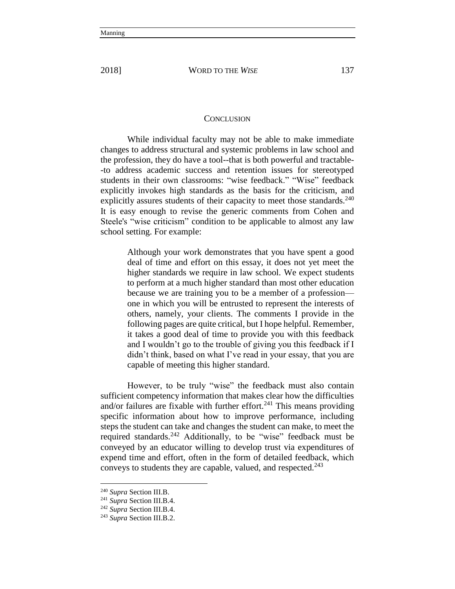#### **CONCLUSION**

While individual faculty may not be able to make immediate changes to address structural and systemic problems in law school and the profession, they do have a tool--that is both powerful and tractable- -to address academic success and retention issues for stereotyped students in their own classrooms: "wise feedback." "Wise" feedback explicitly invokes high standards as the basis for the criticism, and explicitly assures students of their capacity to meet those standards.<sup>240</sup> It is easy enough to revise the generic comments from Cohen and Steele's "wise criticism" condition to be applicable to almost any law school setting. For example:

> Although your work demonstrates that you have spent a good deal of time and effort on this essay, it does not yet meet the higher standards we require in law school. We expect students to perform at a much higher standard than most other education because we are training you to be a member of a profession one in which you will be entrusted to represent the interests of others, namely, your clients. The comments I provide in the following pages are quite critical, but I hope helpful. Remember, it takes a good deal of time to provide you with this feedback and I wouldn't go to the trouble of giving you this feedback if I didn't think, based on what I've read in your essay, that you are capable of meeting this higher standard.

However, to be truly "wise" the feedback must also contain sufficient competency information that makes clear how the difficulties and/or failures are fixable with further effort. $241$  This means providing specific information about how to improve performance, including steps the student can take and changes the student can make, to meet the required standards.<sup>242</sup> Additionally, to be "wise" feedback must be conveyed by an educator willing to develop trust via expenditures of expend time and effort, often in the form of detailed feedback, which conveys to students they are capable, valued, and respected. 243

<sup>240</sup> *Supra* Section III.B.

<sup>241</sup> *Supra* Section III.B.4.

<sup>242</sup> *Supra* Section III.B.4.

<sup>243</sup> *Supra* Section III.B.2.